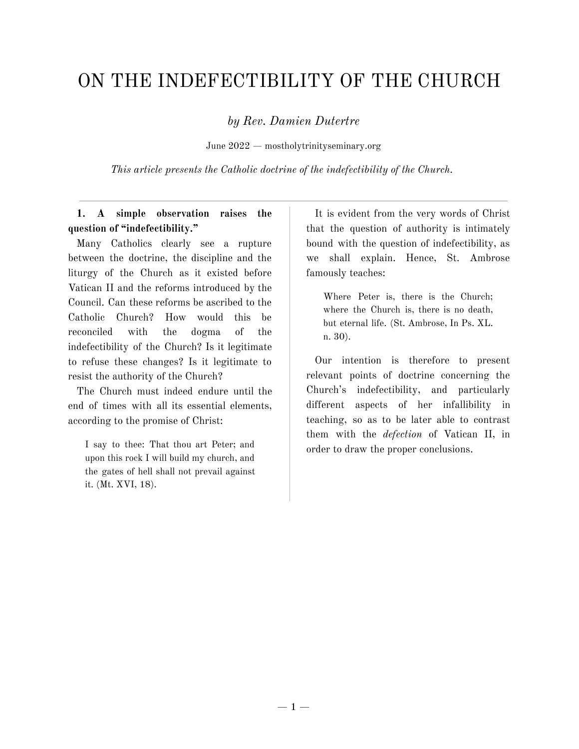# ON THE INDEFECTIBILITY OF THE CHURCH

*by Rev. Damien Dutertre*

June 2022 — mostholytrinityseminary.org

*This article presents the Catholic doctrine of the indefectibility of the Church.*

## **1. A simple observation raises the question of "indefectibility."**

Many Catholics clearly see a rupture between the doctrine, the discipline and the liturgy of the Church as it existed before Vatican II and the reforms introduced by the Council. Can these reforms be ascribed to the Catholic Church? How would this be reconciled with the dogma of the indefectibility of the Church? Is it legitimate to refuse these changes? Is it legitimate to resist the authority of the Church?

The Church must indeed endure until the end of times with all its essential elements, according to the promise of Christ:

I say to thee: That thou art Peter; and upon this rock I will build my church, and the gates of hell shall not prevail against it. (Mt. XVI, 18).

It is evident from the very words of Christ that the question of authority is intimately bound with the question of indefectibility, as we shall explain. Hence, St. Ambrose famously teaches:

Where Peter is, there is the Church; where the Church is, there is no death, but eternal life. (St. Ambrose, In Ps. XL. n. 30).

Our intention is therefore to present relevant points of doctrine concerning the Church's indefectibility, and particularly different aspects of her infallibility in teaching, so as to be later able to contrast them with the *defection* of Vatican II, in order to draw the proper conclusions.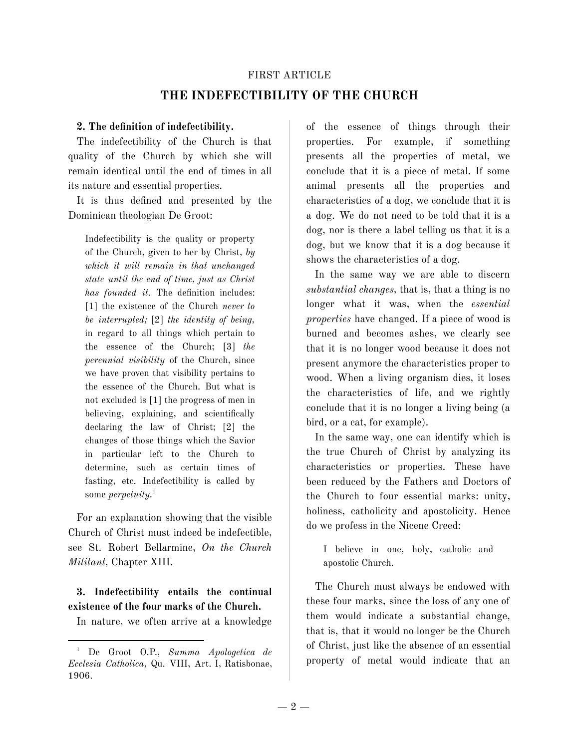#### FIRST ARTICLE

## **THE INDEFECTIBILITY OF THE CHURCH**

#### **2. The definition of indefectibility.**

The indefectibility of the Church is that quality of the Church by which she will remain identical until the end of times in all its nature and essential properties.

It is thus defined and presented by the Dominican theologian De Groot:

Indefectibility is the quality or property of the Church, given to her by Christ, *by which it will remain in that unchanged state until the end of time, just as Christ has founded it.* The definition includes: [1] the existence of the Church *never to be interrupted;* [2] *the identity of being,* in regard to all things which pertain to the essence of the Church; [3] *the perennial visibility* of the Church, since we have proven that visibility pertains to the essence of the Church. But what is not excluded is [1] the progress of men in believing, explaining, and scientifically declaring the law of Christ; [2] the changes of those things which the Savior in particular left to the Church to determine, such as certain times of fasting, etc. Indefectibility is called by some *perpetuity.* 1

For an explanation showing that the visible Church of Christ must indeed be indefectible, see St. Robert Bellarmine, *On the Church Militant,* Chapter XIII.

**3. Indefectibility entails the continual existence of the four marks of the Church.**

In nature, we often arrive at a knowledge

of the essence of things through their properties. For example, if something presents all the properties of metal, we conclude that it is a piece of metal. If some animal presents all the properties and characteristics of a dog, we conclude that it is a dog. We do not need to be told that it is a dog, nor is there a label telling us that it is a dog, but we know that it is a dog because it shows the characteristics of a dog.

In the same way we are able to discern *substantial changes,* that is, that a thing is no longer what it was, when the *essential properties* have changed. If a piece of wood is burned and becomes ashes, we clearly see that it is no longer wood because it does not present anymore the characteristics proper to wood. When a living organism dies, it loses the characteristics of life, and we rightly conclude that it is no longer a living being (a bird, or a cat, for example).

In the same way, one can identify which is the true Church of Christ by analyzing its characteristics or properties. These have been reduced by the Fathers and Doctors of the Church to four essential marks: unity, holiness, catholicity and apostolicity. Hence do we profess in the Nicene Creed:

I believe in one, holy, catholic and apostolic Church.

The Church must always be endowed with these four marks, since the loss of any one of them would indicate a substantial change, that is, that it would no longer be the Church of Christ, just like the absence of an essential property of metal would indicate that an

<sup>1</sup> De Groot O.P., *Summa Apologetica de Ecclesia Catholica,* Qu. VIII, Art. I, Ratisbonae, 1906.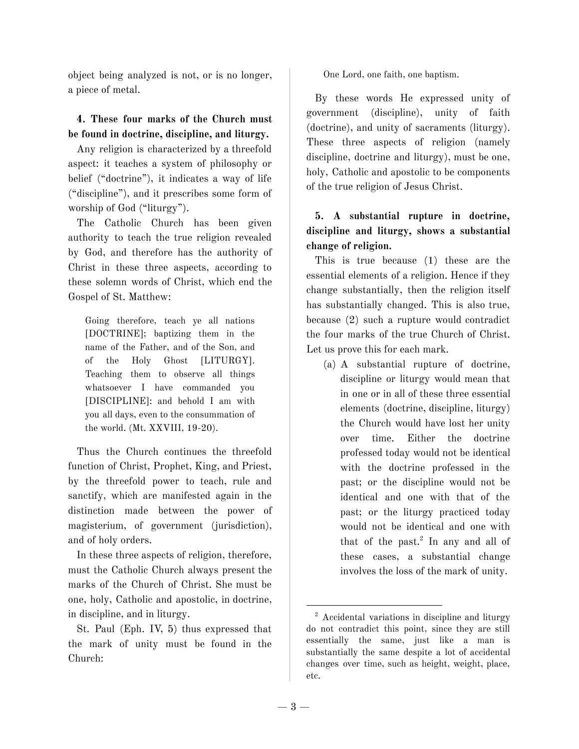object being analyzed is not, or is no longer, a piece of metal.

### **4. These four marks of the Church must be found in doctrine, discipline, and liturgy.**

Any religion is characterized by a threefold aspect: it teaches a system of philosophy or belief ("doctrine"), it indicates a way of life ("discipline"), and it prescribes some form of worship of God ("liturgy").

The Catholic Church has been given authority to teach the true religion revealed by God, and therefore has the authority of Christ in these three aspects, according to these solemn words of Christ, which end the Gospel of St. Matthew:

Going therefore, teach ye all nations [DOCTRINE]; baptizing them in the name of the Father, and of the Son, and of the Holy Ghost [LITURGY]. Teaching them to observe all things whatsoever I have commanded you [DISCIPLINE]: and behold I am with you all days, even to the consummation of the world. (Mt. XXVIII, 19-20).

Thus the Church continues the threefold function of Christ, Prophet, King, and Priest, by the threefold power to teach, rule and sanctify, which are manifested again in the distinction made between the power of magisterium, of government (jurisdiction), and of holy orders.

In these three aspects of religion, therefore, must the Catholic Church always present the marks of the Church of Christ. She must be one, holy, Catholic and apostolic, in doctrine, in discipline, and in liturgy.

St. Paul (Eph. IV, 5) thus expressed that the mark of unity must be found in the Church:

One Lord, one faith, one baptism.

By these words He expressed unity of government (discipline), unity of faith (doctrine), and unity of sacraments (liturgy). These three aspects of religion (namely discipline, doctrine and liturgy), must be one, holy, Catholic and apostolic to be components of the true religion of Jesus Christ.

# **5. A substantial rupture in doctrine, discipline and liturgy, shows a substantial change of religion.**

This is true because (1) these are the essential elements of a religion. Hence if they change substantially, then the religion itself has substantially changed. This is also true, because (2) such a rupture would contradict the four marks of the true Church of Christ. Let us prove this for each mark.

(a) A substantial rupture of doctrine, discipline or liturgy would mean that in one or in all of these three essential elements (doctrine, discipline, liturgy) the Church would have lost her unity over time. Either the doctrine professed today would not be identical with the doctrine professed in the past; or the discipline would not be identical and one with that of the past; or the liturgy practiced today would not be identical and one with that of the past. 2 In any and all of these cases, a substantial change involves the loss of the mark of unity.

<sup>&</sup>lt;sup>2</sup> Accidental variations in discipline and liturgy do not contradict this point, since they are still essentially the same, just like a man is substantially the same despite a lot of accidental changes over time, such as height, weight, place, etc.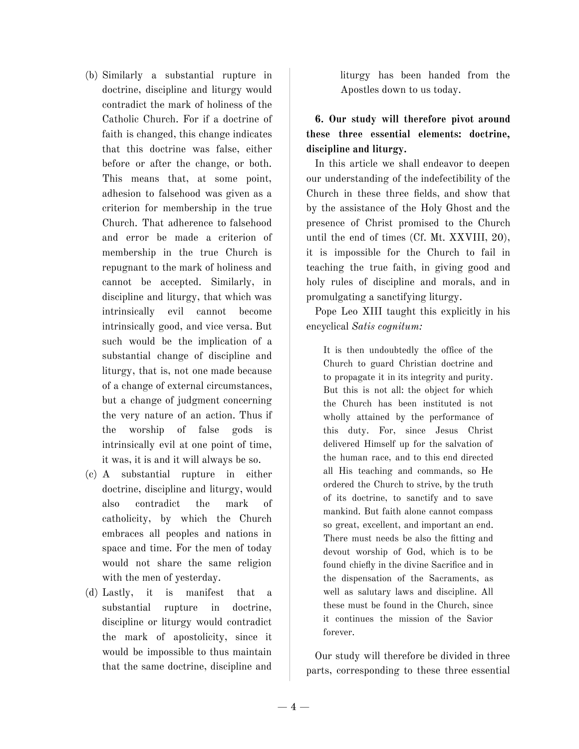- (b) Similarly a substantial rupture in doctrine, discipline and liturgy would contradict the mark of holiness of the Catholic Church. For if a doctrine of faith is changed, this change indicates that this doctrine was false, either before or after the change, or both. This means that, at some point, adhesion to falsehood was given as a criterion for membership in the true Church. That adherence to falsehood and error be made a criterion of membership in the true Church is repugnant to the mark of holiness and cannot be accepted. Similarly, in discipline and liturgy, that which was intrinsically evil cannot become intrinsically good, and vice versa. But such would be the implication of a substantial change of discipline and liturgy, that is, not one made because of a change of external circumstances, but a change of judgment concerning the very nature of an action. Thus if the worship of false gods is intrinsically evil at one point of time, it was, it is and it will always be so.
- (c) A substantial rupture in either doctrine, discipline and liturgy, would also contradict the mark of catholicity, by which the Church embraces all peoples and nations in space and time. For the men of today would not share the same religion with the men of yesterday.
- (d) Lastly, it is manifest that a substantial rupture in doctrine, discipline or liturgy would contradict the mark of apostolicity, since it would be impossible to thus maintain that the same doctrine, discipline and

liturgy has been handed from the Apostles down to us today.

# **6. Our study will therefore pivot around these three essential elements: doctrine, discipline and liturgy.**

In this article we shall endeavor to deepen our understanding of the indefectibility of the Church in these three fields, and show that by the assistance of the Holy Ghost and the presence of Christ promised to the Church until the end of times (Cf. Mt. XXVIII, 20), it is impossible for the Church to fail in teaching the true faith, in giving good and holy rules of discipline and morals, and in promulgating a sanctifying liturgy.

Pope Leo XIII taught this explicitly in his encyclical *Satis cognitum:*

It is then undoubtedly the office of the Church to guard Christian doctrine and to propagate it in its integrity and purity. But this is not all: the object for which the Church has been instituted is not wholly attained by the performance of this duty. For, since Jesus Christ delivered Himself up for the salvation of the human race, and to this end directed all His teaching and commands, so He ordered the Church to strive, by the truth of its doctrine, to sanctify and to save mankind. But faith alone cannot compass so great, excellent, and important an end. There must needs be also the fitting and devout worship of God, which is to be found chiefly in the divine Sacrifice and in the dispensation of the Sacraments, as well as salutary laws and discipline. All these must be found in the Church, since it continues the mission of the Savior forever.

Our study will therefore be divided in three parts, corresponding to these three essential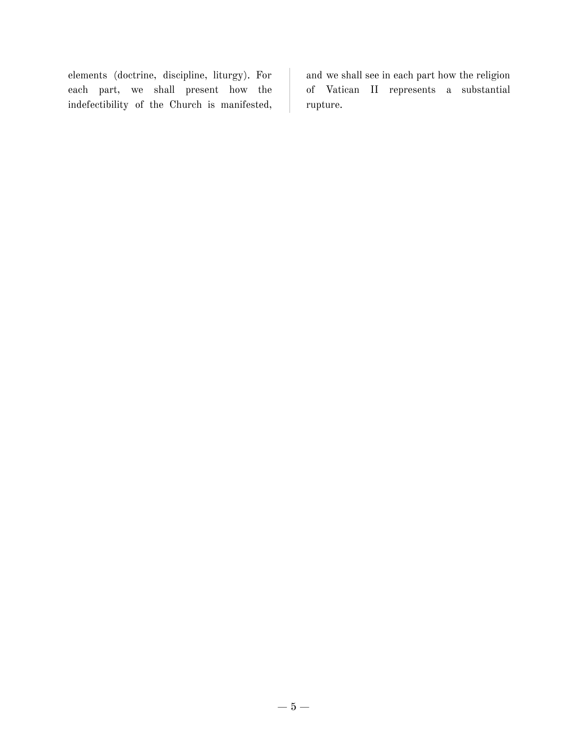elements (doctrine, discipline, liturgy). For each part, we shall present how the indefectibility of the Church is manifested,

and we shall see in each part how the religion of Vatican II represents a substantial rupture.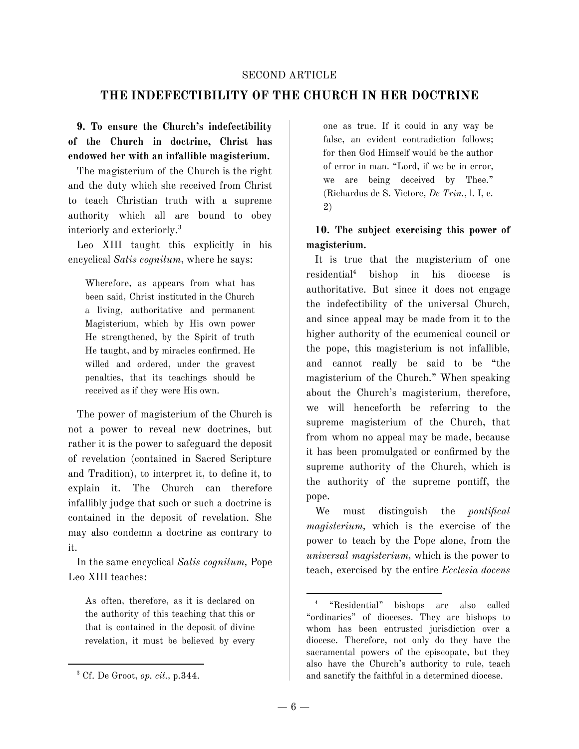#### SECOND ARTICLE

## **THE INDEFECTIBILITY OF THE CHURCH IN HER DOCTRINE**

# **9. To ensure the Church's indefectibility of the Church in doctrine, Christ has endowed her with an infallible magisterium.**

The magisterium of the Church is the right and the duty which she received from Christ to teach Christian truth with a supreme authority which all are bound to obey interiorly and exteriorly. 3

Leo XIII taught this explicitly in his encyclical *Satis cognitum*, where he says:

Wherefore, as appears from what has been said, Christ instituted in the Church a living, authoritative and permanent Magisterium, which by His own power He strengthened, by the Spirit of truth He taught, and by miracles confirmed. He willed and ordered, under the gravest penalties, that its teachings should be received as if they were His own.

The power of magisterium of the Church is not a power to reveal new doctrines, but rather it is the power to safeguard the deposit of revelation (contained in Sacred Scripture and Tradition), to interpret it, to define it, to explain it. The Church can therefore infallibly judge that such or such a doctrine is contained in the deposit of revelation. She may also condemn a doctrine as contrary to it.

In the same encyclical *Satis cognitum,* Pope Leo XIII teaches:

As often, therefore, as it is declared on the authority of this teaching that this or that is contained in the deposit of divine revelation, it must be believed by every one as true. If it could in any way be false, an evident contradiction follows; for then God Himself would be the author of error in man. "Lord, if we be in error, we are being deceived by Thee." (Richardus de S. Victore, *De Trin.*, l. I, c. 2)

**10. The subject exercising this power of magisterium.**

It is true that the magisterium of one residential <sup>4</sup> bishop in his diocese is authoritative. But since it does not engage the indefectibility of the universal Church, and since appeal may be made from it to the higher authority of the ecumenical council or the pope, this magisterium is not infallible, and cannot really be said to be "the magisterium of the Church." When speaking about the Church's magisterium, therefore, we will henceforth be referring to the supreme magisterium of the Church, that from whom no appeal may be made, because it has been promulgated or confirmed by the supreme authority of the Church, which is the authority of the supreme pontiff, the pope.

We must distinguish the *pontifical magisterium,* which is the exercise of the power to teach by the Pope alone, from the *universal magisterium,* which is the power to teach, exercised by the entire *Ecclesia docens*

<sup>3</sup> Cf. De Groot, *op. cit.,* p.344.

<sup>4</sup> "Residential" bishops are also called "ordinaries" of dioceses. They are bishops to whom has been entrusted jurisdiction over a diocese. Therefore, not only do they have the sacramental powers of the episcopate, but they also have the Church's authority to rule, teach and sanctify the faithful in a determined diocese.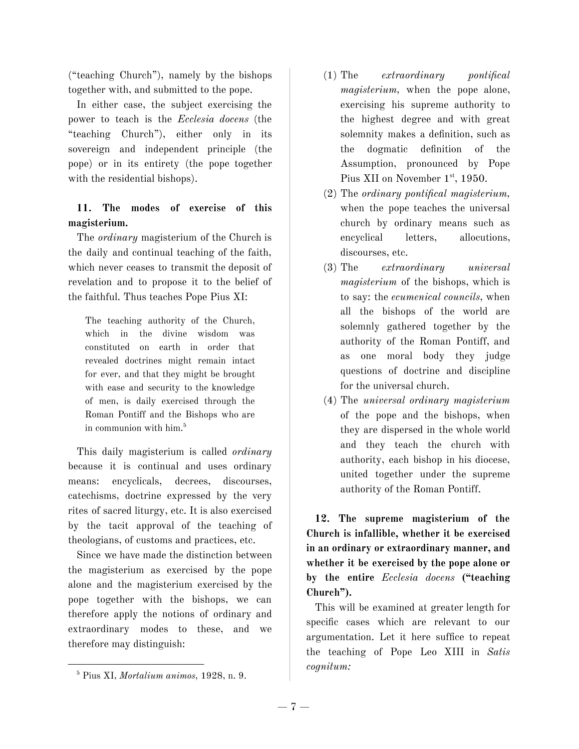("teaching Church"), namely by the bishops together with, and submitted to the pope.

In either case, the subject exercising the power to teach is the *Ecclesia docens* (the "teaching Church"), either only in its sovereign and independent principle (the pope) or in its entirety (the pope together with the residential bishops).

# **11. The modes of exercise of this magisterium.**

The *ordinary* magisterium of the Church is the daily and continual teaching of the faith, which never ceases to transmit the deposit of revelation and to propose it to the belief of the faithful. Thus teaches Pope Pius XI:

The teaching authority of the Church, which in the divine wisdom was constituted on earth in order that revealed doctrines might remain intact for ever, and that they might be brought with ease and security to the knowledge of men, is daily exercised through the Roman Pontiff and the Bishops who are in communion with him. 5

This daily magisterium is called *ordinary* because it is continual and uses ordinary means: encyclicals, decrees, discourses, catechisms, doctrine expressed by the very rites of sacred liturgy, etc. It is also exercised by the tacit approval of the teaching of theologians, of customs and practices, etc.

Since we have made the distinction between the magisterium as exercised by the pope alone and the magisterium exercised by the pope together with the bishops, we can therefore apply the notions of ordinary and extraordinary modes to these, and we therefore may distinguish:

- (1) The *extraordinary pontifical magisterium,* when the pope alone, exercising his supreme authority to the highest degree and with great solemnity makes a definition, such as the dogmatic definition of the Assumption, pronounced by Pope Pius XII on November 1st, 1950.
- (2) The *ordinary pontifical magisterium,* when the pope teaches the universal church by ordinary means such as encyclical letters, allocutions, discourses, etc.
- (3) The *extraordinary universal magisterium* of the bishops, which is to say: the *ecumenical councils,* when all the bishops of the world are solemnly gathered together by the authority of the Roman Pontiff, and as one moral body they judge questions of doctrine and discipline for the universal church.
- (4) The *universal ordinary magisterium* of the pope and the bishops, when they are dispersed in the whole world and they teach the church with authority, each bishop in his diocese, united together under the supreme authority of the Roman Pontiff.

**12. The supreme magisterium of the Church is infallible, whether it be exercised in an ordinary or extraordinary manner, and whether it be exercised by the pope alone or by the entire** *Ecclesia docens* **("teaching Church").**

This will be examined at greater length for specific cases which are relevant to our argumentation. Let it here suffice to repeat the teaching of Pope Leo XIII in *Satis cognitum:*

<sup>5</sup> Pius XI, *Mortalium animos,* 1928, n. 9.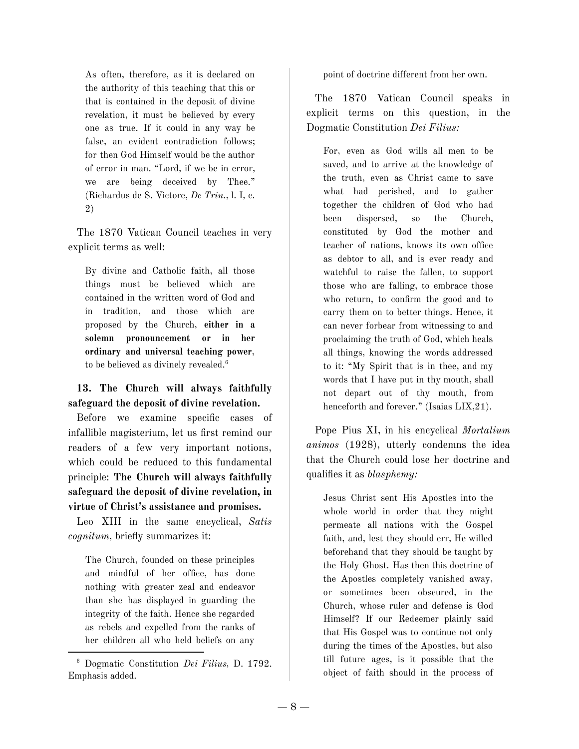As often, therefore, as it is declared on the authority of this teaching that this or that is contained in the deposit of divine revelation, it must be believed by every one as true. If it could in any way be false, an evident contradiction follows; for then God Himself would be the author of error in man. "Lord, if we be in error, we are being deceived by Thee." (Richardus de S. Victore, *De Trin.*, l. I, c. 2)

The 1870 Vatican Council teaches in very explicit terms as well:

By divine and Catholic faith, all those things must be believed which are contained in the written word of God and in tradition, and those which are proposed by the Church, **either in a solemn pronouncement or in her ordinary and universal teaching power**, to be believed as divinely revealed. 6

**13. The Church will always faithfully safeguard the deposit of divine revelation.**

Before we examine specific cases of infallible magisterium, let us first remind our readers of a few very important notions, which could be reduced to this fundamental principle: **The Church will always faithfully safeguard the deposit of divine revelation, in virtue of Christ's assistance and promises.**

Leo XIII in the same encyclical, *Satis cognitum,* briefly summarizes it:

The Church, founded on these principles and mindful of her office, has done nothing with greater zeal and endeavor than she has displayed in guarding the integrity of the faith. Hence she regarded as rebels and expelled from the ranks of her children all who held beliefs on any

<sup>6</sup> Dogmatic Constitution *Dei Filius,* D. 1792. Emphasis added.

point of doctrine different from her own.

The 1870 Vatican Council speaks in explicit terms on this question, in the Dogmatic Constitution *Dei Filius:*

For, even as God wills all men to be saved, and to arrive at the knowledge of the truth, even as Christ came to save what had perished, and to gather together the children of God who had been dispersed, so the Church, constituted by God the mother and teacher of nations, knows its own office as debtor to all, and is ever ready and watchful to raise the fallen, to support those who are falling, to embrace those who return, to confirm the good and to carry them on to better things. Hence, it can never forbear from witnessing to and proclaiming the truth of God, which heals all things, knowing the words addressed to it: "My Spirit that is in thee, and my words that I have put in thy mouth, shall not depart out of thy mouth, from henceforth and forever." (Isaias LIX, 21).

Pope Pius XI, in his encyclical *Mortalium animos* (1928), utterly condemns the idea that the Church could lose her doctrine and qualifies it as *blasphemy:*

Jesus Christ sent His Apostles into the whole world in order that they might permeate all nations with the Gospel faith, and, lest they should err, He willed beforehand that they should be taught by the Holy Ghost. Has then this doctrine of the Apostles completely vanished away, or sometimes been obscured, in the Church, whose ruler and defense is God Himself? If our Redeemer plainly said that His Gospel was to continue not only during the times of the Apostles, but also till future ages, is it possible that the object of faith should in the process of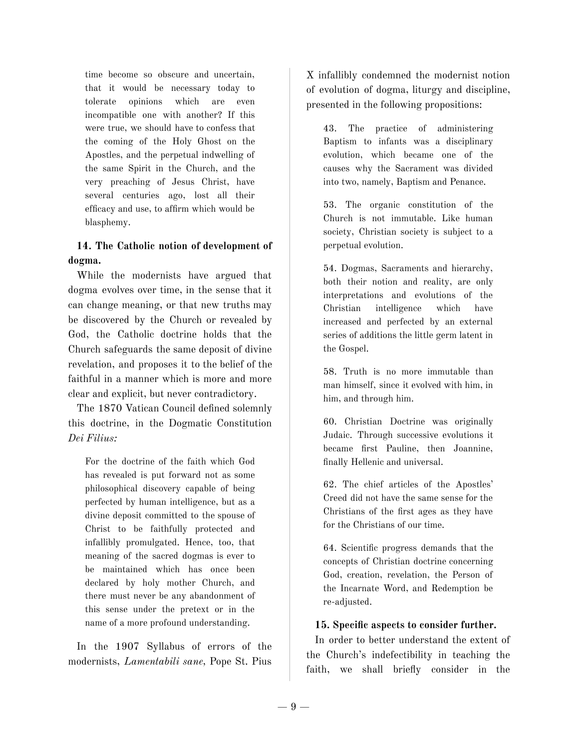time become so obscure and uncertain, that it would be necessary today to tolerate opinions which are even incompatible one with another? If this were true, we should have to confess that the coming of the Holy Ghost on the Apostles, and the perpetual indwelling of the same Spirit in the Church, and the very preaching of Jesus Christ, have several centuries ago, lost all their efficacy and use, to affirm which would be blasphemy.

## **14. The Catholic notion of development of dogma.**

While the modernists have argued that dogma evolves over time, in the sense that it can change meaning, or that new truths may be discovered by the Church or revealed by God, the Catholic doctrine holds that the Church safeguards the same deposit of divine revelation, and proposes it to the belief of the faithful in a manner which is more and more clear and explicit, but never contradictory.

The 1870 Vatican Council defined solemnly this doctrine, in the Dogmatic Constitution *Dei Filius:*

For the doctrine of the faith which God has revealed is put forward not as some philosophical discovery capable of being perfected by human intelligence, but as a divine deposit committed to the spouse of Christ to be faithfully protected and infallibly promulgated. Hence, too, that meaning of the sacred dogmas is ever to be maintained which has once been declared by holy mother Church, and there must never be any abandonment of this sense under the pretext or in the name of a more profound understanding.

In the 1907 Syllabus of errors of the modernists, *Lamentabili sane,* Pope St. Pius X infallibly condemned the modernist notion of evolution of dogma, liturgy and discipline, presented in the following propositions:

43. The practice of administering Baptism to infants was a disciplinary evolution, which became one of the causes why the Sacrament was divided into two, namely, Baptism and Penance.

53. The organic constitution of the Church is not immutable. Like human society, Christian society is subject to a perpetual evolution.

54. Dogmas, Sacraments and hierarchy, both their notion and reality, are only interpretations and evolutions of the Christian intelligence which have increased and perfected by an external series of additions the little germ latent in the Gospel.

58. Truth is no more immutable than man himself, since it evolved with him, in him, and through him.

60. Christian Doctrine was originally Judaic. Through successive evolutions it became first Pauline, then Joannine, finally Hellenic and universal.

62. The chief articles of the Apostles' Creed did not have the same sense for the Christians of the first ages as they have for the Christians of our time.

64. Scientific progress demands that the concepts of Christian doctrine concerning God, creation, revelation, the Person of the Incarnate Word, and Redemption be re-adjusted.

#### **15. Specific aspects to consider further.**

In order to better understand the extent of the Church's indefectibility in teaching the faith, we shall briefly consider in the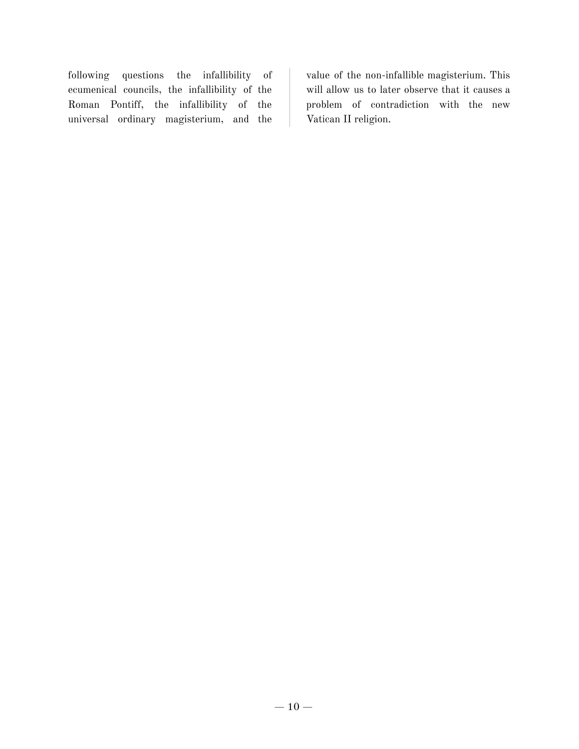following questions the infallibility of ecumenical councils, the infallibility of the Roman Pontiff, the infallibility of the universal ordinary magisterium, and the value of the non-infallible magisterium. This will allow us to later observe that it causes a problem of contradiction with the new Vatican II religion.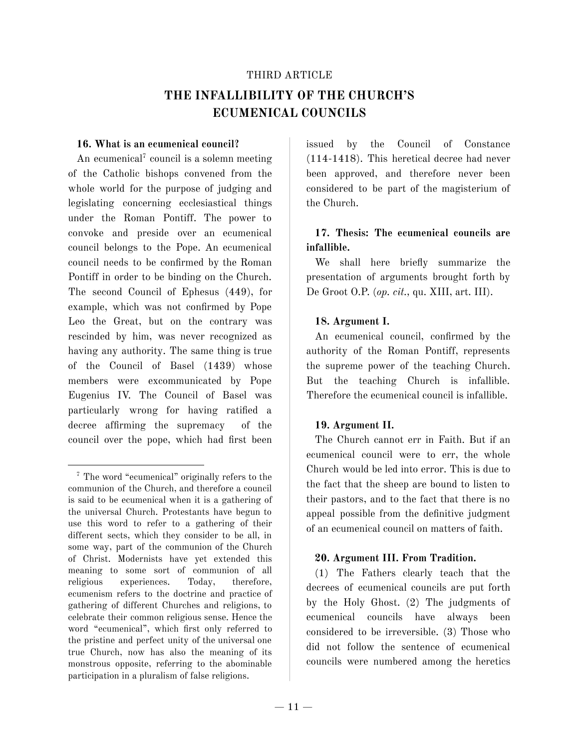#### THIRD ARTICLE

# **THE INFALLIBILITY OF THE CHURCH'S ECUMENICAL COUNCILS**

#### **16. What is an ecumenical council?**

An ecumenical <sup>7</sup> council is a solemn meeting of the Catholic bishops convened from the whole world for the purpose of judging and legislating concerning ecclesiastical things under the Roman Pontiff. The power to convoke and preside over an ecumenical council belongs to the Pope. An ecumenical council needs to be confirmed by the Roman Pontiff in order to be binding on the Church. The second Council of Ephesus (449), for example, which was not confirmed by Pope Leo the Great, but on the contrary was rescinded by him, was never recognized as having any authority. The same thing is true of the Council of Basel (1439) whose members were excommunicated by Pope Eugenius IV. The Council of Basel was particularly wrong for having ratified a decree affirming the supremacy of the council over the pope, which had first been issued by the Council of Constance (114-1418). This heretical decree had never been approved, and therefore never been considered to be part of the magisterium of the Church.

## **17. Thesis: The ecumenical councils are infallible.**

We shall here briefly summarize the presentation of arguments brought forth by De Groot O.P. (*op. cit.,* qu. XIII, art. III).

### **18. Argument I.**

An ecumenical council, confirmed by the authority of the Roman Pontiff, represents the supreme power of the teaching Church. But the teaching Church is infallible. Therefore the ecumenical council is infallible.

#### **19. Argument II.**

The Church cannot err in Faith. But if an ecumenical council were to err, the whole Church would be led into error. This is due to the fact that the sheep are bound to listen to their pastors, and to the fact that there is no appeal possible from the definitive judgment of an ecumenical council on matters of faith.

#### **20. Argument III. From Tradition.**

(1) The Fathers clearly teach that the decrees of ecumenical councils are put forth by the Holy Ghost. (2) The judgments of ecumenical councils have always been considered to be irreversible. (3) Those who did not follow the sentence of ecumenical councils were numbered among the heretics

<sup>7</sup> The word "ecumenical" originally refers to the communion of the Church, and therefore a council is said to be ecumenical when it is a gathering of the universal Church. Protestants have begun to use this word to refer to a gathering of their different sects, which they consider to be all, in some way, part of the communion of the Church of Christ. Modernists have yet extended this meaning to some sort of communion of all religious experiences. Today, therefore, ecumenism refers to the doctrine and practice of gathering of different Churches and religions, to celebrate their common religious sense. Hence the word "ecumenical", which first only referred to the pristine and perfect unity of the universal one true Church, now has also the meaning of its monstrous opposite, referring to the abominable participation in a pluralism of false religions.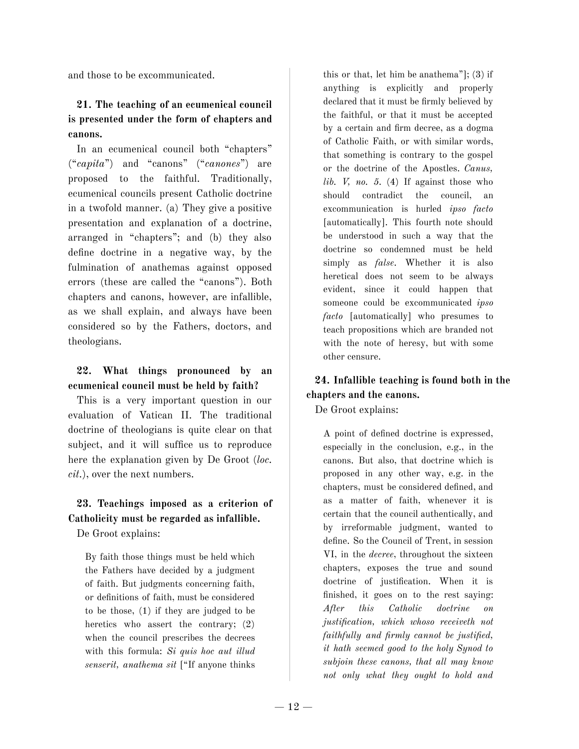and those to be excommunicated.

## **21. The teaching of an ecumenical council is presented under the form of chapters and canons.**

In an ecumenical council both "chapters" ("*capita*") and "canons" ("*canones*") are proposed to the faithful. Traditionally, ecumenical councils present Catholic doctrine in a twofold manner. (a) They give a positive presentation and explanation of a doctrine, arranged in "chapters"; and (b) they also define doctrine in a negative way, by the fulmination of anathemas against opposed errors (these are called the "canons"). Both chapters and canons, however, are infallible, as we shall explain, and always have been considered so by the Fathers, doctors, and theologians.

### **22. What things pronounced by an ecumenical council must be held by faith?**

This is a very important question in our evaluation of Vatican II. The traditional doctrine of theologians is quite clear on that subject, and it will suffice us to reproduce here the explanation given by De Groot (*loc. cit.*), over the next numbers.

# **23. Teachings imposed as a criterion of Catholicity must be regarded as infallible.**

De Groot explains:

By faith those things must be held which the Fathers have decided by a judgment of faith. But judgments concerning faith, or definitions of faith, must be considered to be those, (1) if they are judged to be heretics who assert the contrary; (2) when the council prescribes the decrees with this formula: *Si quis hoc aut illud senserit, anathema sit* ["If anyone thinks

this or that, let him be anathema"]; (3) if anything is explicitly and properly declared that it must be firmly believed by the faithful, or that it must be accepted by a certain and firm decree, as a dogma of Catholic Faith, or with similar words, that something is contrary to the gospel or the doctrine of the Apostles. *Canus, lib. V, no. 5.* (4) If against those who should contradict the council, an excommunication is hurled *ipso facto* [automatically]. This fourth note should be understood in such a way that the doctrine so condemned must be held simply as *false*. Whether it is also heretical does not seem to be always evident, since it could happen that someone could be excommunicated *ipso facto* [automatically] who presumes to teach propositions which are branded not with the note of heresy, but with some other censure.

# **24. Infallible teaching is found both in the chapters and the canons.**

De Groot explains:

A point of defined doctrine is expressed, especially in the conclusion, e.g., in the canons. But also, that doctrine which is proposed in any other way, e.g. in the chapters, must be considered defined, and as a matter of faith, whenever it is certain that the council authentically, and by irreformable judgment, wanted to define. So the Council of Trent, in session VI, in the *decree*, throughout the sixteen chapters, exposes the true and sound doctrine of justification. When it is finished, it goes on to the rest saying: *After this Catholic doctrine on justification, which whoso receiveth not faithfully and firmly cannot be justified, it hath seemed good to the holy Synod to subjoin these canons, that all may know not only what they ought to hold and*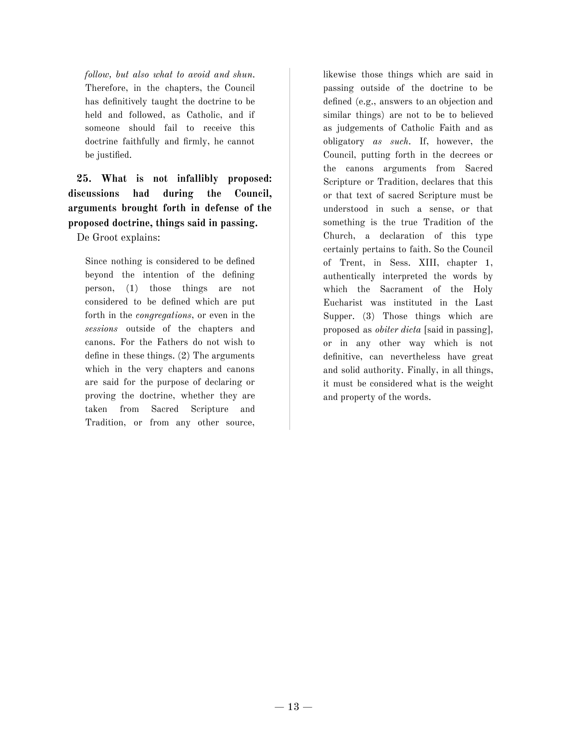*follow, but also what to avoid and shun.* Therefore, in the chapters, the Council has definitively taught the doctrine to be held and followed, as Catholic, and if someone should fail to receive this doctrine faithfully and firmly, he cannot be justified.

**25. What is not infallibly proposed: discussions had during the Council, arguments brought forth in defense of the proposed doctrine, things said in passing.**

De Groot explains:

Since nothing is considered to be defined beyond the intention of the defining person, (1) those things are not considered to be defined which are put forth in the *congregations*, or even in the *sessions* outside of the chapters and canons. For the Fathers do not wish to define in these things. (2) The arguments which in the very chapters and canons are said for the purpose of declaring or proving the doctrine, whether they are taken from Sacred Scripture and Tradition, or from any other source,

likewise those things which are said in passing outside of the doctrine to be defined (e.g., answers to an objection and similar things) are not to be to believed as judgements of Catholic Faith and as obligatory *as such*. If, however, the Council, putting forth in the decrees or the canons arguments from Sacred Scripture or Tradition, declares that this or that text of sacred Scripture must be understood in such a sense, or that something is the true Tradition of the Church, a declaration of this type certainly pertains to faith. So the Council of Trent, in Sess. XIII, chapter 1, authentically interpreted the words by which the Sacrament of the Holy Eucharist was instituted in the Last Supper. (3) Those things which are proposed as *obiter dicta* [said in passing]*,* or in any other way which is not definitive, can nevertheless have great and solid authority. Finally, in all things, it must be considered what is the weight and property of the words.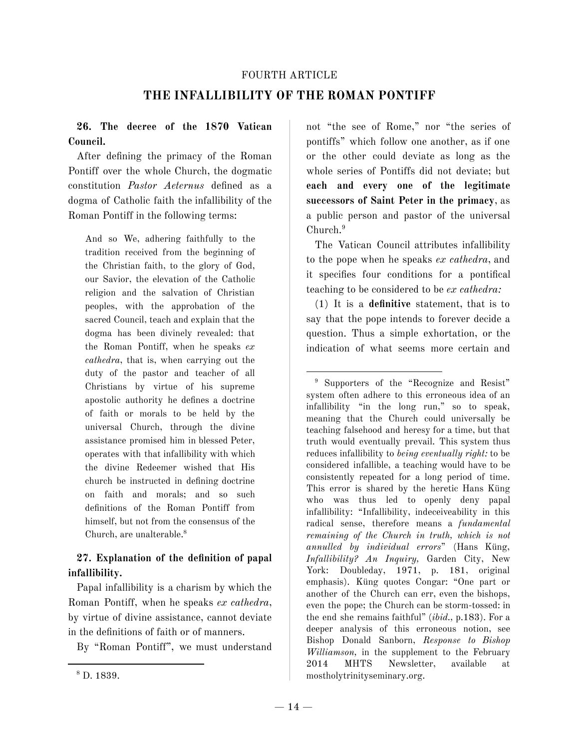#### FOURTH ARTICLE

## **THE INFALLIBILITY OF THE ROMAN PONTIFF**

## **26. The decree of the 1870 Vatican Council.**

After defining the primacy of the Roman Pontiff over the whole Church, the dogmatic constitution *Pastor Aeternus* defined as a dogma of Catholic faith the infallibility of the Roman Pontiff in the following terms:

And so We, adhering faithfully to the tradition received from the beginning of the Christian faith, to the glory of God, our Savior, the elevation of the Catholic religion and the salvation of Christian peoples, with the approbation of the sacred Council, teach and explain that the dogma has been divinely revealed: that the Roman Pontiff, when he speaks *ex cathedra*, that is, when carrying out the duty of the pastor and teacher of all Christians by virtue of his supreme apostolic authority he defines a doctrine of faith or morals to be held by the universal Church, through the divine assistance promised him in blessed Peter, operates with that infallibility with which the divine Redeemer wished that His church be instructed in defining doctrine on faith and morals; and so such definitions of the Roman Pontiff from himself, but not from the consensus of the Church, are unalterable. 8

### **27. Explanation of the definition of papal infallibility.**

Papal infallibility is a charism by which the Roman Pontiff, when he speaks *ex cathedra*, by virtue of divine assistance, cannot deviate in the definitions of faith or of manners.

By "Roman Pontiff", we must understand

The Vatican Council attributes infallibility to the pope when he speaks *ex cathedra*, and it specifies four conditions for a pontifical teaching to be considered to be *ex cathedra:*

(1) It is a **definitive** statement, that is to say that the pope intends to forever decide a question. Thus a simple exhortation, or the indication of what seems more certain and

<sup>9</sup> Supporters of the "Recognize and Resist" system often adhere to this erroneous idea of an infallibility "in the long run," so to speak, meaning that the Church could universally be teaching falsehood and heresy for a time, but that truth would eventually prevail. This system thus reduces infallibility to *being eventually right:* to be considered infallible, a teaching would have to be consistently repeated for a long period of time. This error is shared by the heretic Hans Küng who was thus led to openly deny papal infallibility: "Infallibility, indeceiveability in this radical sense, therefore means a *fundamental remaining of the Church in truth, which is not annulled by individual errors*" (Hans Küng, *Infallibility? An Inquiry,* Garden City, New York: Doubleday, 1971, p. 181, original emphasis). Küng quotes Congar: "One part or another of the Church can err, even the bishops, even the pope; the Church can be storm-tossed: in the end she remains faithful" (*ibid.,* p.183). For a deeper analysis of this erroneous notion, see Bishop Donald Sanborn, *Response to Bishop Williamson,* in the supplement to the February 2014 MHTS Newsletter, available at mostholytrinityseminary.org.

not "the see of Rome," nor "the series of pontiffs" which follow one another, as if one or the other could deviate as long as the whole series of Pontiffs did not deviate; but **each and every one of the legitimate successors of Saint Peter in the primacy**, as a public person and pastor of the universal Church. 9

<sup>8</sup> D. 1839.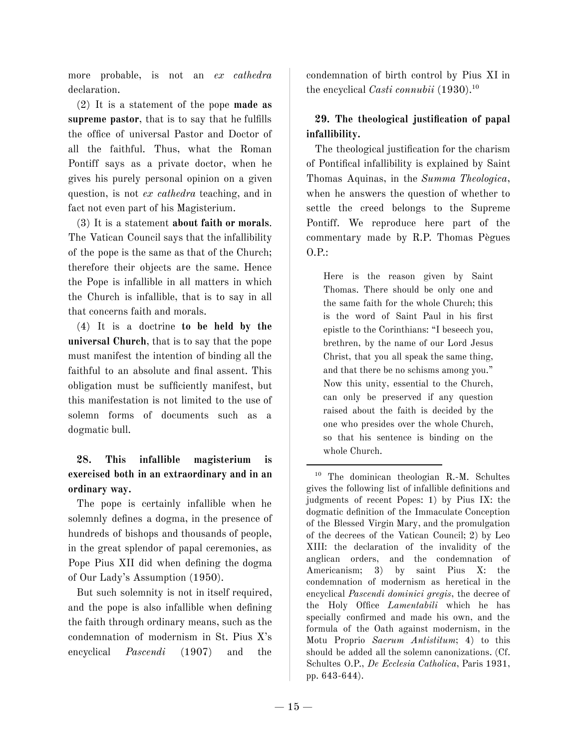more probable, is not an *ex cathedra* declaration.

(2) It is a statement of the pope **made as supreme pastor**, that is to say that he fulfills the office of universal Pastor and Doctor of all the faithful. Thus, what the Roman Pontiff says as a private doctor, when he gives his purely personal opinion on a given question, is not *ex cathedra* teaching, and in fact not even part of his Magisterium.

(3) It is a statement **about faith or morals**. The Vatican Council says that the infallibility of the pope is the same as that of the Church; therefore their objects are the same. Hence the Pope is infallible in all matters in which the Church is infallible, that is to say in all that concerns faith and morals.

(4) It is a doctrine **to be held by the universal Church**, that is to say that the pope must manifest the intention of binding all the faithful to an absolute and final assent. This obligation must be sufficiently manifest, but this manifestation is not limited to the use of solemn forms of documents such as a dogmatic bull.

# **28. This infallible magisterium is exercised both in an extraordinary and in an ordinary way.**

The pope is certainly infallible when he solemnly defines a dogma, in the presence of hundreds of bishops and thousands of people, in the great splendor of papal ceremonies, as Pope Pius XII did when defining the dogma of Our Lady's Assumption (1950).

But such solemnity is not in itself required, and the pope is also infallible when defining the faith through ordinary means, such as the condemnation of modernism in St. Pius X's encyclical *Pascendi* (1907) and the condemnation of birth control by Pius XI in the encyclical *Casti connubii* (1930). 10

# **29. The theological justification of papal infallibility.**

The theological justification for the charism of Pontifical infallibility is explained by Saint Thomas Aquinas, in the *Summa Theologica*, when he answers the question of whether to settle the creed belongs to the Supreme Pontiff. We reproduce here part of the commentary made by R.P. Thomas Pègues O.P.:

Here is the reason given by Saint Thomas. There should be only one and the same faith for the whole Church; this is the word of Saint Paul in his first epistle to the Corinthians: "I beseech you, brethren, by the name of our Lord Jesus Christ, that you all speak the same thing, and that there be no schisms among you." Now this unity, essential to the Church, can only be preserved if any question raised about the faith is decided by the one who presides over the whole Church, so that his sentence is binding on the whole Church.

<sup>10</sup> The dominican theologian R.-M. Schultes gives the following list of infallible definitions and judgments of recent Popes: 1) by Pius IX: the dogmatic definition of the Immaculate Conception of the Blessed Virgin Mary, and the promulgation of the decrees of the Vatican Council; 2) by Leo XIII: the declaration of the invalidity of the anglican orders, and the condemnation of Americanism; 3) by saint Pius X: the condemnation of modernism as heretical in the encyclical *Pascendi dominici gregis*, the decree of the Holy Office *Lamentabili* which he has specially confirmed and made his own, and the formula of the Oath against modernism, in the Motu Proprio *Sacrum Antistitum*; 4) to this should be added all the solemn canonizations. (Cf. Schultes O.P., *De Ecclesia Catholica*, Paris 1931, pp. 643-644).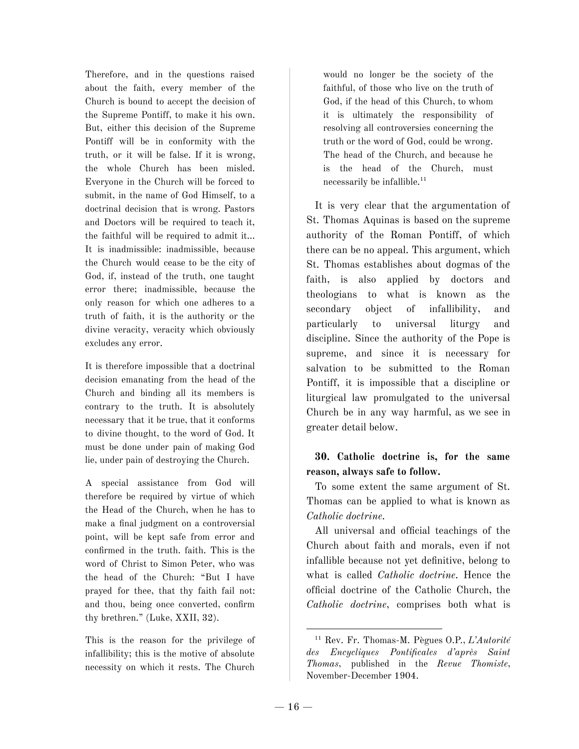Therefore, and in the questions raised about the faith, every member of the Church is bound to accept the decision of the Supreme Pontiff, to make it his own. But, either this decision of the Supreme Pontiff will be in conformity with the truth, or it will be false. If it is wrong, the whole Church has been misled. Everyone in the Church will be forced to submit, in the name of God Himself, to a doctrinal decision that is wrong. Pastors and Doctors will be required to teach it, the faithful will be required to admit it… It is inadmissible: inadmissible, because the Church would cease to be the city of God, if, instead of the truth, one taught error there; inadmissible, because the only reason for which one adheres to a truth of faith, it is the authority or the divine veracity, veracity which obviously excludes any error.

It is therefore impossible that a doctrinal decision emanating from the head of the Church and binding all its members is contrary to the truth. It is absolutely necessary that it be true, that it conforms to divine thought, to the word of God. It must be done under pain of making God lie, under pain of destroying the Church.

A special assistance from God will therefore be required by virtue of which the Head of the Church, when he has to make a final judgment on a controversial point, will be kept safe from error and confirmed in the truth. faith. This is the word of Christ to Simon Peter, who was the head of the Church: "But I have prayed for thee, that thy faith fail not: and thou, being once converted, confirm thy brethren." (Luke, XXII, 32).

This is the reason for the privilege of infallibility; this is the motive of absolute necessity on which it rests. The Church

would no longer be the society of the faithful, of those who live on the truth of God, if the head of this Church, to whom it is ultimately the responsibility of resolving all controversies concerning the truth or the word of God, could be wrong. The head of the Church, and because he is the head of the Church, must necessarily be infallible. 11

It is very clear that the argumentation of St. Thomas Aquinas is based on the supreme authority of the Roman Pontiff, of which there can be no appeal. This argument, which St. Thomas establishes about dogmas of the faith, is also applied by doctors and theologians to what is known as the secondary object of infallibility, and particularly to universal liturgy and discipline. Since the authority of the Pope is supreme, and since it is necessary for salvation to be submitted to the Roman Pontiff, it is impossible that a discipline or liturgical law promulgated to the universal Church be in any way harmful, as we see in greater detail below.

## **30. Catholic doctrine is, for the same reason, always safe to follow.**

To some extent the same argument of St. Thomas can be applied to what is known as *Catholic doctrine.*

All universal and official teachings of the Church about faith and morals, even if not infallible because not yet definitive, belong to what is called *Catholic doctrine.* Hence the official doctrine of the Catholic Church, the *Catholic doctrine*, comprises both what is

<sup>11</sup> Rev. Fr. Thomas-M. Pègues O.P., *L'Autorité des Encycliques Pontificales d'après Saint Thomas*, published in the *Revue Thomiste*, November-December 1904.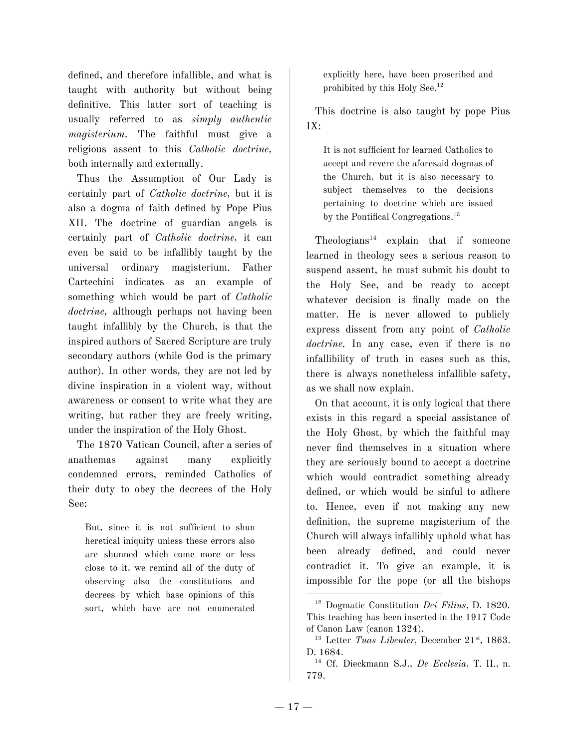defined, and therefore infallible, and what is taught with authority but without being definitive. This latter sort of teaching is usually referred to as *simply authentic magisterium*. The faithful must give a religious assent to this *Catholic doctrine,* both internally and externally.

Thus the Assumption of Our Lady is certainly part of *Catholic doctrine,* but it is also a dogma of faith defined by Pope Pius XII. The doctrine of guardian angels is certainly part of *Catholic doctrine,* it can even be said to be infallibly taught by the universal ordinary magisterium. Father Cartechini indicates as an example of something which would be part of *Catholic doctrine,* although perhaps not having been taught infallibly by the Church, is that the inspired authors of Sacred Scripture are truly secondary authors (while God is the primary author). In other words, they are not led by divine inspiration in a violent way, without awareness or consent to write what they are writing, but rather they are freely writing, under the inspiration of the Holy Ghost.

The 1870 Vatican Council, after a series of anathemas against many explicitly condemned errors, reminded Catholics of their duty to obey the decrees of the Holy See:

But, since it is not sufficient to shun heretical iniquity unless these errors also are shunned which come more or less close to it, we remind all of the duty of observing also the constitutions and decrees by which base opinions of this sort, which have are not enumerated explicitly here, have been proscribed and prohibited by this Holy See. 12

This doctrine is also taught by pope Pius IX:

It is not sufficient for learned Catholics to accept and revere the aforesaid dogmas of the Church, but it is also necessary to subject themselves to the decisions pertaining to doctrine which are issued by the Pontifical Congregations. 13

Theologians <sup>14</sup> explain that if someone learned in theology sees a serious reason to suspend assent, he must submit his doubt to the Holy See, and be ready to accept whatever decision is finally made on the matter. He is never allowed to publicly express dissent from any point of *Catholic doctrine.* In any case, even if there is no infallibility of truth in cases such as this, there is always nonetheless infallible safety, as we shall now explain.

On that account, it is only logical that there exists in this regard a special assistance of the Holy Ghost, by which the faithful may never find themselves in a situation where they are seriously bound to accept a doctrine which would contradict something already defined, or which would be sinful to adhere to. Hence, even if not making any new definition, the supreme magisterium of the Church will always infallibly uphold what has been already defined, and could never contradict it. To give an example, it is impossible for the pope (or all the bishops

<sup>12</sup> Dogmatic Constitution *Dei Filius*, D. 1820. This teaching has been inserted in the 1917 Code of Canon Law (canon 1324).

<sup>&</sup>lt;sup>13</sup> Letter *Tuas Libenter*, December 21<sup>st</sup>, 1863. D. 1684.

<sup>14</sup> Cf. Dieckmann S.J., *De Ecclesia*, T. II., n. 779.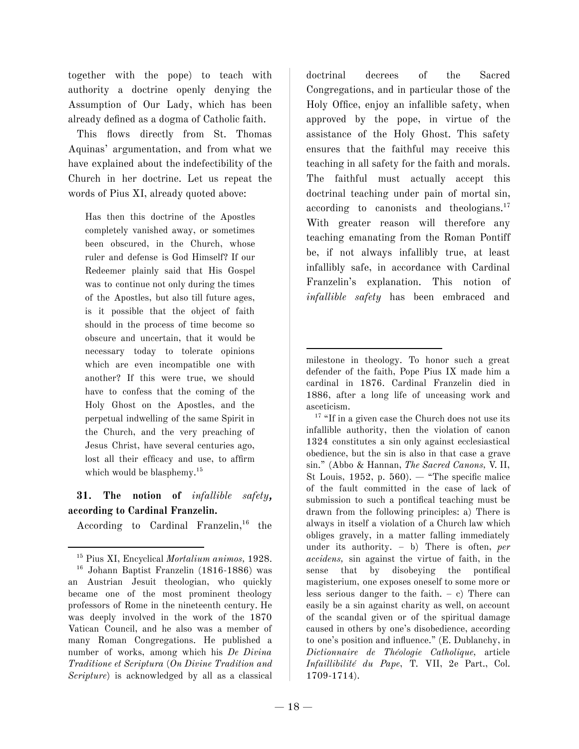together with the pope) to teach with authority a doctrine openly denying the Assumption of Our Lady, which has been already defined as a dogma of Catholic faith.

This flows directly from St. Thomas Aquinas' argumentation, and from what we have explained about the indefectibility of the Church in her doctrine. Let us repeat the words of Pius XI, already quoted above:

Has then this doctrine of the Apostles completely vanished away, or sometimes been obscured, in the Church, whose ruler and defense is God Himself? If our Redeemer plainly said that His Gospel was to continue not only during the times of the Apostles, but also till future ages, is it possible that the object of faith should in the process of time become so obscure and uncertain, that it would be necessary today to tolerate opinions which are even incompatible one with another? If this were true, we should have to confess that the coming of the Holy Ghost on the Apostles, and the perpetual indwelling of the same Spirit in the Church, and the very preaching of Jesus Christ, have several centuries ago, lost all their efficacy and use, to affirm which would be blasphemy.<sup>15</sup>

# **31. The notion of** *infallible safety*, **according to Cardinal Franzelin.**

According to Cardinal Franzelin,<sup>16</sup> the

doctrinal decrees of the Sacred Congregations, and in particular those of the Holy Office, enjoy an infallible safety, when approved by the pope, in virtue of the assistance of the Holy Ghost. This safety ensures that the faithful may receive this teaching in all safety for the faith and morals. The faithful must actually accept this doctrinal teaching under pain of mortal sin, according to canonists and theologians. 17 With greater reason will therefore any teaching emanating from the Roman Pontiff be, if not always infallibly true, at least infallibly safe, in accordance with Cardinal Franzelin's explanation. This notion of *infallible safety* has been embraced and

 $17$  "If in a given case the Church does not use its infallible authority, then the violation of canon 1324 constitutes a sin only against ecclesiastical obedience, but the sin is also in that case a grave sin." (Abbo & Hannan, *The Sacred Canons,* V. II, St Louis, 1952, p. 560).  $-$  "The specific malice" of the fault committed in the case of lack of submission to such a pontifical teaching must be drawn from the following principles: a) There is always in itself a violation of a Church law which obliges gravely, in a matter falling immediately under its authority. – b) There is often, *per accidens,* sin against the virtue of faith, in the sense that by disobeying the pontifical magisterium, one exposes oneself to some more or less serious danger to the faith.  $- c$ ) There can easily be a sin against charity as well, on account of the scandal given or of the spiritual damage caused in others by one's disobedience, according to one's position and influence." (E. Dublanchy, in *Dictionnaire de Théologie Catholique,* article *Infaillibilité du Pape*, T. VII, 2e Part., Col. 1709-1714).

<sup>15</sup> Pius XI, Encyclical *Mortalium animos,* 1928.

<sup>16</sup> Johann Baptist Franzelin (1816-1886) was an Austrian Jesuit theologian, who quickly became one of the most prominent theology professors of Rome in the nineteenth century. He was deeply involved in the work of the 1870 Vatican Council, and he also was a member of many Roman Congregations. He published a number of works, among which his *De Divina Traditione et Scriptura* (*On Divine Tradition and Scripture*) is acknowledged by all as a classical

milestone in theology. To honor such a great defender of the faith, Pope Pius IX made him a cardinal in 1876. Cardinal Franzelin died in 1886, after a long life of unceasing work and asceticism.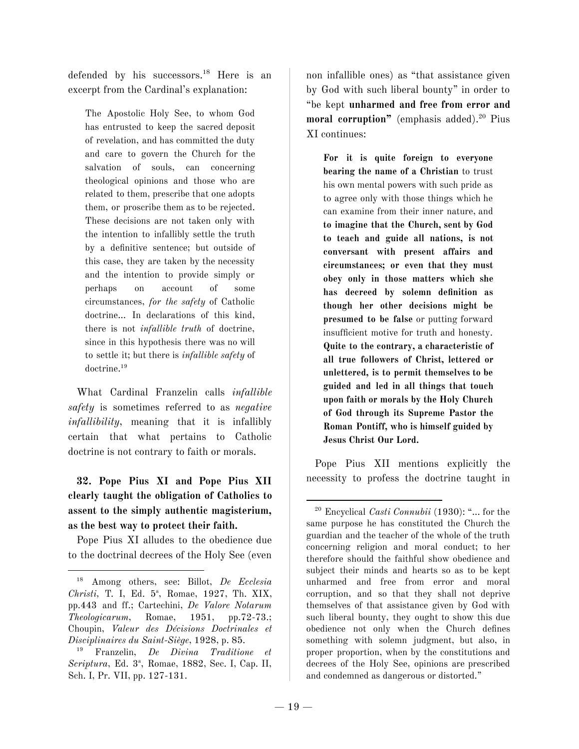defended by his successors. <sup>18</sup> Here is an excerpt from the Cardinal's explanation:

The Apostolic Holy See, to whom God has entrusted to keep the sacred deposit of revelation, and has committed the duty and care to govern the Church for the salvation of souls, can concerning theological opinions and those who are related to them, prescribe that one adopts them, or proscribe them as to be rejected. These decisions are not taken only with the intention to infallibly settle the truth by a definitive sentence; but outside of this case, they are taken by the necessity and the intention to provide simply or perhaps on account of some circumstances, *for the safety* of Catholic doctrine… In declarations of this kind, there is not *infallible truth* of doctrine, since in this hypothesis there was no will to settle it; but there is *infallible safety* of doctrine. 19

What Cardinal Franzelin calls *infallible safety* is sometimes referred to as *negative infallibility*, meaning that it is infallibly certain that what pertains to Catholic doctrine is not contrary to faith or morals.

**32. Pope Pius XI and Pope Pius XII clearly taught the obligation of Catholics to assent to the simply authentic magisterium, as the best way to protect their faith.**

Pope Pius XI alludes to the obedience due to the doctrinal decrees of the Holy See (even non infallible ones) as "that assistance given by God with such liberal bounty" in order to "be kept **unharmed and free from error and moral corruption"** (emphasis added). <sup>20</sup> Pius XI continues:

**For it is quite foreign to everyone bearing the name of a Christian** to trust his own mental powers with such pride as to agree only with those things which he can examine from their inner nature, and **to imagine that the Church, sent by God to teach and guide all nations, is not conversant with present affairs and circumstances; or even that they must obey only in those matters which she has decreed by solemn definition as though her other decisions might be presumed to be false** or putting forward insufficient motive for truth and honesty. **Quite to the contrary, a characteristic of all true followers of Christ, lettered or unlettered, is to permit themselves to be guided and led in all things that touch upon faith or morals by the Holy Church of God through its Supreme Pastor the Roman Pontiff, who is himself guided by Jesus Christ Our Lord.**

Pope Pius XII mentions explicitly the necessity to profess the doctrine taught in

<sup>18</sup> Among others, see: Billot, *De Ecclesia* Christi, T. I, Ed. 5<sup>a</sup>, Romae, 1927, Th. XIX, pp.443 and ff.; Cartechini, *De Valore Notarum Theologicarum*, Romae, 1951, pp.72-73.; Choupin, *Valeur des Décisions Doctrinales et Disciplinaires du Saint-Siège*, 1928, p. 85.

<sup>19</sup> Franzelin, *De Divina Traditione et* Scriptura, Ed. 3<sup>ª</sup>, Romae, 1882, Sec. I, Cap. II, Sch. I, Pr. VII, pp. 127-131.

<sup>20</sup> Encyclical *Casti Connubii* (1930): "... for the same purpose he has constituted the Church the guardian and the teacher of the whole of the truth concerning religion and moral conduct; to her therefore should the faithful show obedience and subject their minds and hearts so as to be kept unharmed and free from error and moral corruption, and so that they shall not deprive themselves of that assistance given by God with such liberal bounty, they ought to show this due obedience not only when the Church defines something with solemn judgment, but also, in proper proportion, when by the constitutions and decrees of the Holy See, opinions are prescribed and condemned as dangerous or distorted."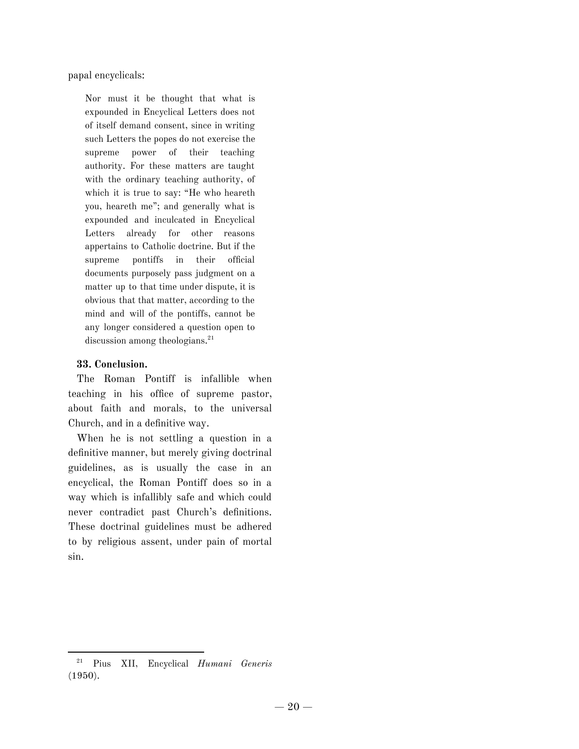papal encyclicals:

Nor must it be thought that what is expounded in Encyclical Letters does not of itself demand consent, since in writing such Letters the popes do not exercise the supreme power of their teaching authority. For these matters are taught with the ordinary teaching authority, of which it is true to say: "He who heareth you, heareth me"; and generally what is expounded and inculcated in Encyclical Letters already for other reasons appertains to Catholic doctrine. But if the supreme pontiffs in their official documents purposely pass judgment on a matter up to that time under dispute, it is obvious that that matter, according to the mind and will of the pontiffs, cannot be any longer considered a question open to discussion among theologians. 21

#### **33. Conclusion.**

The Roman Pontiff is infallible when teaching in his office of supreme pastor, about faith and morals, to the universal Church, and in a definitive way.

When he is not settling a question in a definitive manner, but merely giving doctrinal guidelines, as is usually the case in an encyclical, the Roman Pontiff does so in a way which is infallibly safe and which could never contradict past Church's definitions. These doctrinal guidelines must be adhered to by religious assent, under pain of mortal sin.

<sup>21</sup> Pius XII, Encyclical *Humani Generis* (1950).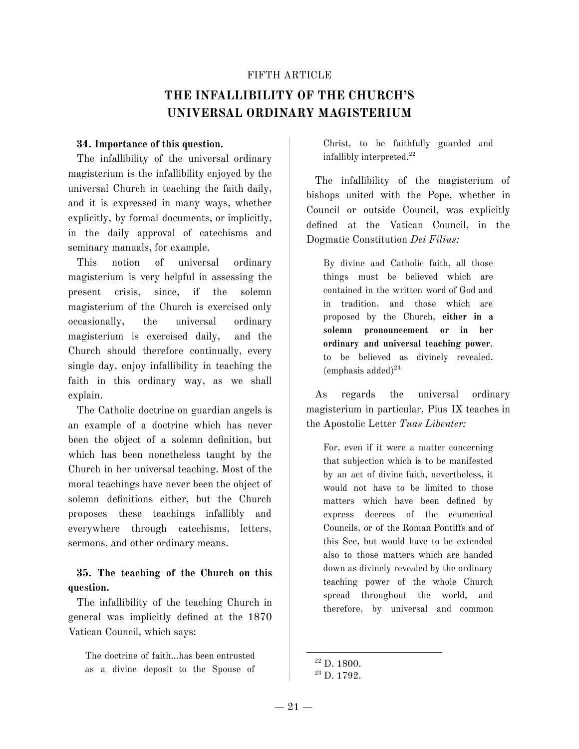#### FIFTH ARTICLE

# **THE INFALLIBILITY OF THE CHURCH'S UNIVERSAL ORDINARY MAGISTERIUM**

#### **34. Importance of this question.**

The infallibility of the universal ordinary magisterium is the infallibility enjoyed by the universal Church in teaching the faith daily, and it is expressed in many ways, whether explicitly, by formal documents, or implicitly, in the daily approval of catechisms and seminary manuals, for example.

This notion of universal ordinary magisterium is very helpful in assessing the present crisis, since, if the solemn magisterium of the Church is exercised only occasionally, the universal ordinary magisterium is exercised daily, and the Church should therefore continually, every single day, enjoy infallibility in teaching the faith in this ordinary way, as we shall explain.

The Catholic doctrine on guardian angels is an example of a doctrine which has never been the object of a solemn definition, but which has been nonetheless taught by the Church in her universal teaching. Most of the moral teachings have never been the object of solemn definitions either, but the Church proposes these teachings infallibly and everywhere through catechisms, letters, sermons, and other ordinary means.

**35. The teaching of the Church on this question.**

The infallibility of the teaching Church in general was implicitly defined at the 1870 Vatican Council, which says:

The doctrine of faith…has been entrusted as a divine deposit to the Spouse of Christ, to be faithfully guarded and infallibly interpreted. 22

The infallibility of the magisterium of bishops united with the Pope, whether in Council or outside Council, was explicitly defined at the Vatican Council, in the Dogmatic Constitution *Dei Filius:*

By divine and Catholic faith, all those things must be believed which are contained in the written word of God and in tradition, and those which are proposed by the Church, **either in a solemn pronouncement or in her ordinary and universal teaching power**, to be believed as divinely revealed. (emphasis added) 23

As regards the universal ordinary magisterium in particular, Pius IX teaches in the Apostolic Letter *Tuas Libenter:*

For, even if it were a matter concerning that subjection which is to be manifested by an act of divine faith, nevertheless, it would not have to be limited to those matters which have been defined by express decrees of the ecumenical Councils, or of the Roman Pontiffs and of this See, but would have to be extended also to those matters which are handed down as divinely revealed by the ordinary teaching power of the whole Church spread throughout the world, and therefore, by universal and common

<sup>22</sup> D. 1800.

<sup>23</sup> D. 1792.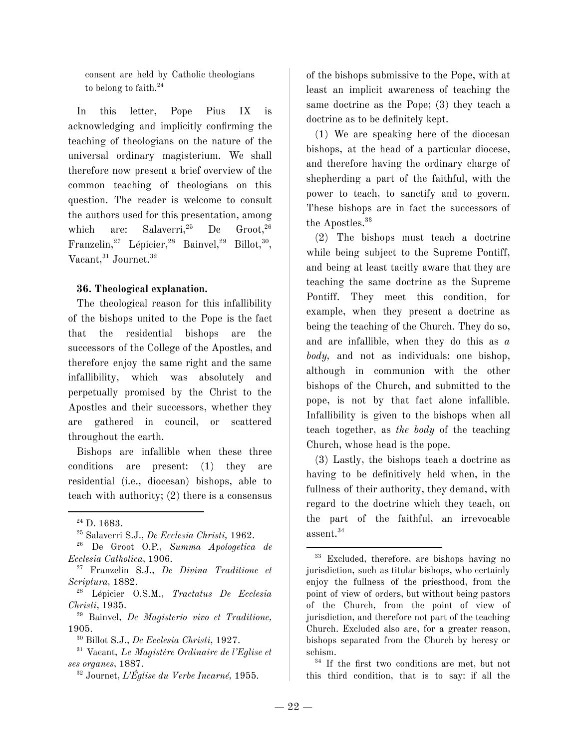consent are held by Catholic theologians to belong to faith. 24

In this letter, Pope Pius IX is acknowledging and implicitly confirming the teaching of theologians on the nature of the universal ordinary magisterium. We shall therefore now present a brief overview of the common teaching of theologians on this question. The reader is welcome to consult the authors used for this presentation, among which are: Salaverri,<sup>25</sup> <sup>25</sup> De Groot, 26 Franzelin,<sup>27</sup> Lépicier,<sup>28</sup> Bainvel,<sup>29</sup> Billot,<sup>30</sup>, Vacant, <sup>31</sup> Journet. 32

#### **36. Theological explanation.**

The theological reason for this infallibility of the bishops united to the Pope is the fact that the residential bishops are the successors of the College of the Apostles, and therefore enjoy the same right and the same infallibility, which was absolutely and perpetually promised by the Christ to the Apostles and their successors, whether they are gathered in council, or scattered throughout the earth.

Bishops are infallible when these three conditions are present: (1) they are residential (i.e., diocesan) bishops, able to teach with authority; (2) there is a consensus

- <sup>26</sup> De Groot O.P., *Summa Apologetica de Ecclesia Catholica*, 1906.
- <sup>27</sup> Franzelin S.J., *De Divina Traditione et Scriptura,* 1882.
- <sup>28</sup> Lépicier O.S.M., *Tractatus De Ecclesia Christi*, 1935.

<sup>29</sup> Bainvel, *De Magisterio vivo et Traditione,* 1905.

<sup>32</sup> Journet, *L'Église du Verbe Incarné,* 1955.

of the bishops submissive to the Pope, with at least an implicit awareness of teaching the same doctrine as the Pope; (3) they teach a doctrine as to be definitely kept.

(1) We are speaking here of the diocesan bishops, at the head of a particular diocese, and therefore having the ordinary charge of shepherding a part of the faithful, with the power to teach, to sanctify and to govern. These bishops are in fact the successors of the Apostles. 33

(2) The bishops must teach a doctrine while being subject to the Supreme Pontiff, and being at least tacitly aware that they are teaching the same doctrine as the Supreme Pontiff. They meet this condition, for example, when they present a doctrine as being the teaching of the Church. They do so, and are infallible, when they do this as *a body,* and not as individuals: one bishop, although in communion with the other bishops of the Church, and submitted to the pope, is not by that fact alone infallible. Infallibility is given to the bishops when all teach together, as *the body* of the teaching Church, whose head is the pope.

(3) Lastly, the bishops teach a doctrine as having to be definitively held when, in the fullness of their authority, they demand, with regard to the doctrine which they teach, on the part of the faithful, an irrevocable assent. 34

34 If the first two conditions are met, but not this third condition, that is to say: if all the

<sup>&</sup>lt;sup>24</sup> D. 1683.

<sup>25</sup> Salaverri S.J., *De Ecclesia Christi,* 1962.

<sup>30</sup> Billot S.J., *De Ecclesia Christi*, 1927.

<sup>31</sup> Vacant, *Le Magistère Ordinaire de l'Eglise et ses organes*, 1887.

<sup>33</sup> Excluded, therefore, are bishops having no jurisdiction, such as titular bishops, who certainly enjoy the fullness of the priesthood, from the point of view of orders, but without being pastors of the Church, from the point of view of jurisdiction, and therefore not part of the teaching Church. Excluded also are, for a greater reason, bishops separated from the Church by heresy or schism.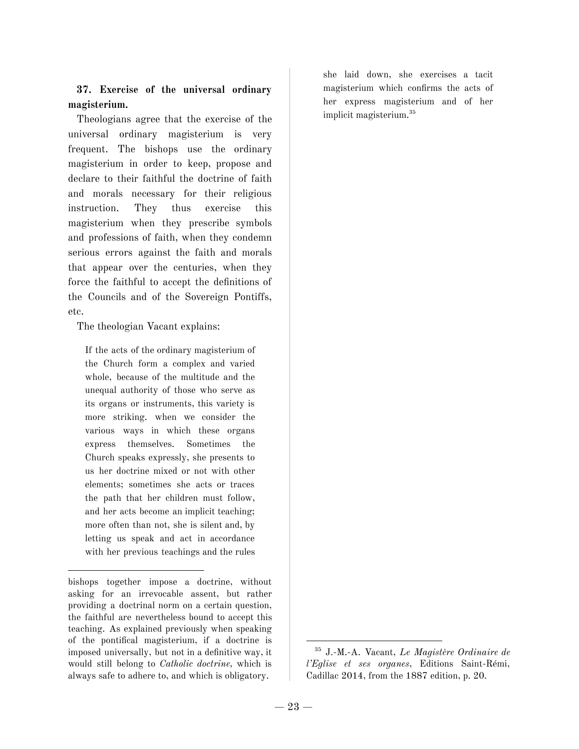## **37. Exercise of the universal ordinary magisterium.**

Theologians agree that the exercise of the universal ordinary magisterium is very frequent. The bishops use the ordinary magisterium in order to keep, propose and declare to their faithful the doctrine of faith and morals necessary for their religious instruction. They thus exercise this magisterium when they prescribe symbols and professions of faith, when they condemn serious errors against the faith and morals that appear over the centuries, when they force the faithful to accept the definitions of the Councils and of the Sovereign Pontiffs, etc.

The theologian Vacant explains:

If the acts of the ordinary magisterium of the Church form a complex and varied whole, because of the multitude and the unequal authority of those who serve as its organs or instruments, this variety is more striking. when we consider the various ways in which these organs express themselves. Sometimes the Church speaks expressly, she presents to us her doctrine mixed or not with other elements; sometimes she acts or traces the path that her children must follow, and her acts become an implicit teaching; more often than not, she is silent and, by letting us speak and act in accordance with her previous teachings and the rules

she laid down, she exercises a tacit magisterium which confirms the acts of her express magisterium and of her implicit magisterium. 35

bishops together impose a doctrine, without asking for an irrevocable assent, but rather providing a doctrinal norm on a certain question, the faithful are nevertheless bound to accept this teaching. As explained previously when speaking of the pontifical magisterium, if a doctrine is imposed universally, but not in a definitive way, it would still belong to *Catholic doctrine,* which is always safe to adhere to, and which is obligatory.

<sup>35</sup> J.-M.-A. Vacant, *Le Magistère Ordinaire de l'Eglise et ses organes*, Editions Saint-Rémi, Cadillac 2014, from the 1887 edition, p. 20.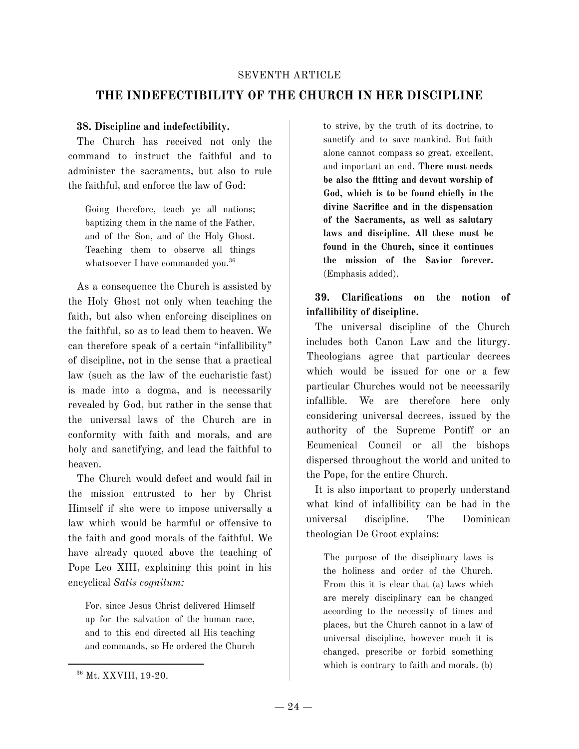#### SEVENTH ARTICLE

# **THE INDEFECTIBILITY OF THE CHURCH IN HER DISCIPLINE**

#### **38. Discipline and indefectibility.**

The Church has received not only the command to instruct the faithful and to administer the sacraments, but also to rule the faithful, and enforce the law of God:

Going therefore, teach ye all nations; baptizing them in the name of the Father, and of the Son, and of the Holy Ghost. Teaching them to observe all things whatsoever I have commanded you.<sup>36</sup>

As a consequence the Church is assisted by the Holy Ghost not only when teaching the faith, but also when enforcing disciplines on the faithful, so as to lead them to heaven. We can therefore speak of a certain "infallibility" of discipline, not in the sense that a practical law (such as the law of the eucharistic fast) is made into a dogma, and is necessarily revealed by God, but rather in the sense that the universal laws of the Church are in conformity with faith and morals, and are holy and sanctifying, and lead the faithful to heaven.

The Church would defect and would fail in the mission entrusted to her by Christ Himself if she were to impose universally a law which would be harmful or offensive to the faith and good morals of the faithful. We have already quoted above the teaching of Pope Leo XIII, explaining this point in his encyclical *Satis cognitum:*

For, since Jesus Christ delivered Himself up for the salvation of the human race, and to this end directed all His teaching and commands, so He ordered the Church

to strive, by the truth of its doctrine, to sanctify and to save mankind. But faith alone cannot compass so great, excellent, and important an end. **There must needs be also the fitting and devout worship of God, which is to be found chiefly in the divine Sacrifice and in the dispensation of the Sacraments, as well as salutary laws and discipline. All these must be found in the Church, since it continues the mission of the Savior forever.** (Emphasis added).

**39. Clarifications on the notion of infallibility of discipline.**

The universal discipline of the Church includes both Canon Law and the liturgy. Theologians agree that particular decrees which would be issued for one or a few particular Churches would not be necessarily infallible. We are therefore here only considering universal decrees, issued by the authority of the Supreme Pontiff or an Ecumenical Council or all the bishops dispersed throughout the world and united to the Pope, for the entire Church.

It is also important to properly understand what kind of infallibility can be had in the universal discipline. The Dominican theologian De Groot explains:

The purpose of the disciplinary laws is the holiness and order of the Church. From this it is clear that (a) laws which are merely disciplinary can be changed according to the necessity of times and places, but the Church cannot in a law of universal discipline, however much it is changed, prescribe or forbid something which is contrary to faith and morals. (b)

<sup>36</sup> Mt. XXVIII, 19-20.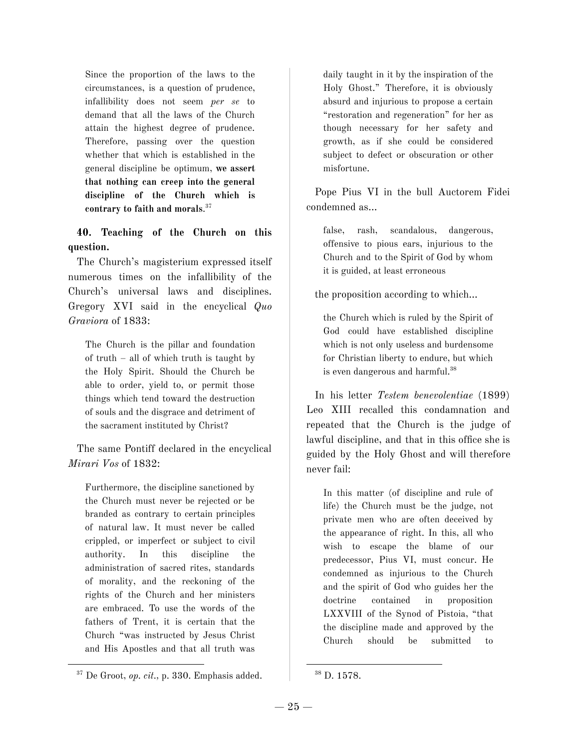Since the proportion of the laws to the circumstances, is a question of prudence, infallibility does not seem *per se* to demand that all the laws of the Church attain the highest degree of prudence. Therefore, passing over the question whether that which is established in the general discipline be optimum, **we assert that nothing can creep into the general discipline of the Church which is contrary to faith and morals**. 37

## **40. Teaching of the Church on this question.**

The Church's magisterium expressed itself numerous times on the infallibility of the Church's universal laws and disciplines. Gregory XVI said in the encyclical *Quo Graviora* of 1833:

The Church is the pillar and foundation of truth – all of which truth is taught by the Holy Spirit. Should the Church be able to order, yield to, or permit those things which tend toward the destruction of souls and the disgrace and detriment of the sacrament instituted by Christ?

The same Pontiff declared in the encyclical *Mirari Vos* of 1832:

Furthermore, the discipline sanctioned by the Church must never be rejected or be branded as contrary to certain principles of natural law. It must never be called crippled, or imperfect or subject to civil authority. In this discipline the administration of sacred rites, standards of morality, and the reckoning of the rights of the Church and her ministers are embraced. To use the words of the fathers of Trent, it is certain that the Church "was instructed by Jesus Christ and His Apostles and that all truth was

daily taught in it by the inspiration of the Holy Ghost." Therefore, it is obviously absurd and injurious to propose a certain "restoration and regeneration" for her as though necessary for her safety and growth, as if she could be considered subject to defect or obscuration or other misfortune.

Pope Pius VI in the bull Auctorem Fidei condemned as…

false, rash, scandalous, dangerous, offensive to pious ears, injurious to the Church and to the Spirit of God by whom it is guided, at least erroneous

the proposition according to which…

the Church which is ruled by the Spirit of God could have established discipline which is not only useless and burdensome for Christian liberty to endure, but which is even dangerous and harmful. 38

In his letter *Testem benevolentiae* (1899) Leo XIII recalled this condamnation and repeated that the Church is the judge of lawful discipline, and that in this office she is guided by the Holy Ghost and will therefore never fail:

In this matter (of discipline and rule of life) the Church must be the judge, not private men who are often deceived by the appearance of right. In this, all who wish to escape the blame of our predecessor, Pius VI, must concur. He condemned as injurious to the Church and the spirit of God who guides her the doctrine contained in proposition LXXVIII of the Synod of Pistoia, "that the discipline made and approved by the Church should be submitted to

<sup>37</sup> De Groot, *op. cit.,* p. 330. Emphasis added.

 $^{\rm 38}$  D. 1578.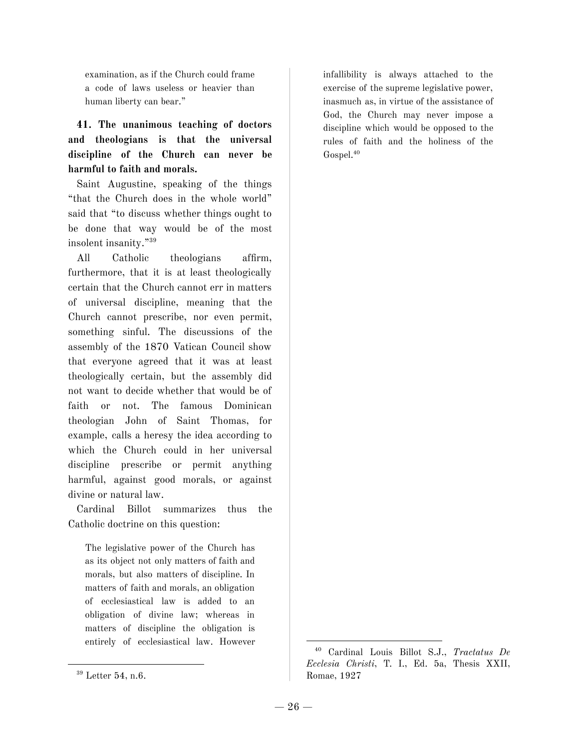examination, as if the Church could frame a code of laws useless or heavier than human liberty can bear."

# **41. The unanimous teaching of doctors and theologians is that the universal discipline of the Church can never be harmful to faith and morals.**

Saint Augustine, speaking of the things "that the Church does in the whole world" said that "to discuss whether things ought to be done that way would be of the most insolent insanity." 39

All Catholic theologians affirm, furthermore, that it is at least theologically certain that the Church cannot err in matters of universal discipline, meaning that the Church cannot prescribe, nor even permit, something sinful. The discussions of the assembly of the 1870 Vatican Council show that everyone agreed that it was at least theologically certain, but the assembly did not want to decide whether that would be of faith or not. The famous Dominican theologian John of Saint Thomas, for example, calls a heresy the idea according to which the Church could in her universal discipline prescribe or permit anything harmful, against good morals, or against divine or natural law.

Cardinal Billot summarizes thus the Catholic doctrine on this question:

The legislative power of the Church has as its object not only matters of faith and morals, but also matters of discipline. In matters of faith and morals, an obligation of ecclesiastical law is added to an obligation of divine law; whereas in matters of discipline the obligation is entirely of ecclesiastical law. However infallibility is always attached to the exercise of the supreme legislative power, inasmuch as, in virtue of the assistance of God, the Church may never impose a discipline which would be opposed to the rules of faith and the holiness of the Gospel. 40

<sup>&</sup>lt;sup>39</sup> Letter 54, n.6.

<sup>40</sup> Cardinal Louis Billot S.J., *Tractatus De Ecclesia Christi*, T. I., Ed. 5a, Thesis XXII, Romae, 1927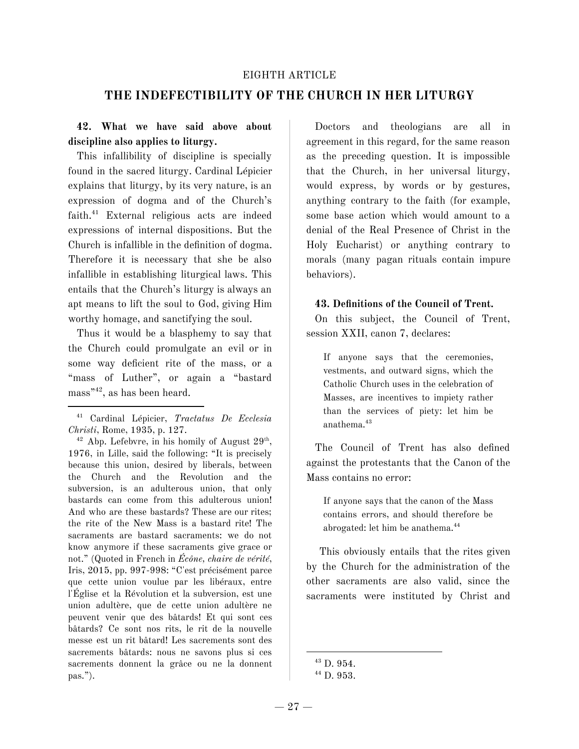#### EIGHTH ARTICLE

## **THE INDEFECTIBILITY OF THE CHURCH IN HER LITURGY**

## **42. What we have said above about discipline also applies to liturgy.**

This infallibility of discipline is specially found in the sacred liturgy. Cardinal Lépicier explains that liturgy, by its very nature, is an expression of dogma and of the Church's faith. <sup>41</sup> External religious acts are indeed expressions of internal dispositions. But the Church is infallible in the definition of dogma. Therefore it is necessary that she be also infallible in establishing liturgical laws. This entails that the Church's liturgy is always an apt means to lift the soul to God, giving Him worthy homage, and sanctifying the soul.

Thus it would be a blasphemy to say that the Church could promulgate an evil or in some way deficient rite of the mass, or a "mass of Luther", or again a "bastard mass" 42 , as has been heard.

 $42$  Abp. Lefebvre, in his homily of August  $29<sup>th</sup>$ , 1976, in Lille, said the following: "It is precisely because this union, desired by liberals, between the Church and the Revolution and the subversion, is an adulterous union, that only bastards can come from this adulterous union! And who are these bastards? These are our rites; the rite of the New Mass is a bastard rite! The sacraments are bastard sacraments: we do not know anymore if these sacraments give grace or not." (Quoted in French in *Écône, chaire de vérité*, Iris, 2015, pp. 997-998: "C'est précisément parce que cette union voulue par les libéraux, entre l'Église et la Révolution et la subversion, est une union adultère, que de cette union adultère ne peuvent venir que des bâtards! Et qui sont ces bâtards? Ce sont nos rits, le rit de la nouvelle messe est un rit bâtard! Les sacrements sont des sacrements bâtards: nous ne savons plus si ces sacrements donnent la grâce ou ne la donnent pas.").

Doctors and theologians are all in agreement in this regard, for the same reason as the preceding question. It is impossible that the Church, in her universal liturgy, would express, by words or by gestures, anything contrary to the faith (for example, some base action which would amount to a denial of the Real Presence of Christ in the Holy Eucharist) or anything contrary to morals (many pagan rituals contain impure behaviors).

#### **43. Definitions of the Council of Trent.**

On this subject, the Council of Trent, session XXII, canon 7, declares:

If anyone says that the ceremonies, vestments, and outward signs, which the Catholic Church uses in the celebration of Masses, are incentives to impiety rather than the services of piety: let him be anathema. 43

The Council of Trent has also defined against the protestants that the Canon of the Mass contains no error:

If anyone says that the canon of the Mass contains errors, and should therefore be abrogated: let him be anathema. 44

This obviously entails that the rites given by the Church for the administration of the other sacraments are also valid, since the sacraments were instituted by Christ and

<sup>41</sup> Cardinal Lépicier, *Tractatus De Ecclesia Christi*, Rome, 1935, p. 127.

 $43$  D. 954.

<sup>44</sup> D. 953.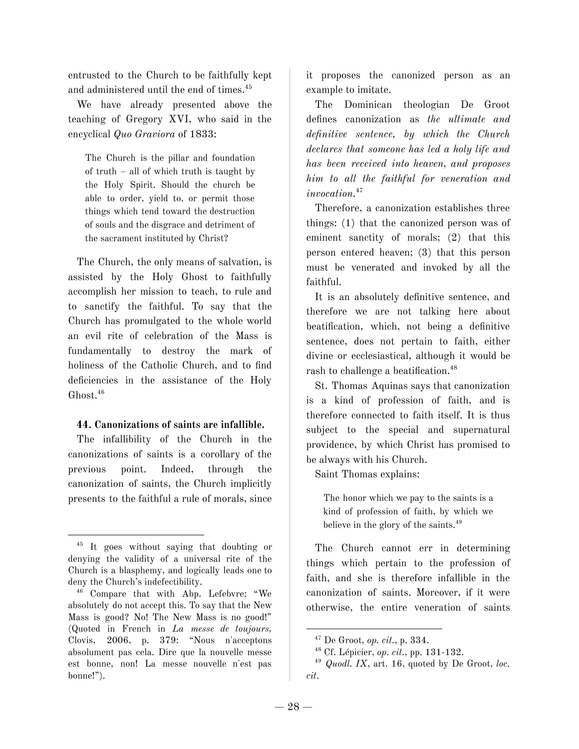entrusted to the Church to be faithfully kept and administered until the end of times. 45

We have already presented above the teaching of Gregory XVI, who said in the encyclical *Quo Graviora* of 1833:

The Church is the pillar and foundation of truth – all of which truth is taught by the Holy Spirit. Should the church be able to order, yield to, or permit those things which tend toward the destruction of souls and the disgrace and detriment of the sacrament instituted by Christ?

The Church, the only means of salvation, is assisted by the Holy Ghost to faithfully accomplish her mission to teach, to rule and to sanctify the faithful. To say that the Church has promulgated to the whole world an evil rite of celebration of the Mass is fundamentally to destroy the mark of holiness of the Catholic Church, and to find deficiencies in the assistance of the Holy Ghost. 46

#### **44. Canonizations of saints are infallible.**

The infallibility of the Church in the canonizations of saints is a corollary of the previous point. Indeed, through the canonization of saints, the Church implicitly presents to the faithful a rule of morals, since it proposes the canonized person as an example to imitate.

The Dominican theologian De Groot defines canonization as *the ultimate and definitive sentence, by which the Church declares that someone has led a holy life and has been received into heaven, and proposes him to all the faithful for veneration and invocation.* 47

Therefore, a canonization establishes three things: (1) that the canonized person was of eminent sanctity of morals; (2) that this person entered heaven; (3) that this person must be venerated and invoked by all the faithful.

It is an absolutely definitive sentence, and therefore we are not talking here about beatification, which, not being a definitive sentence, does not pertain to faith, either divine or ecclesiastical, although it would be rash to challenge a beatification. 48

St. Thomas Aquinas says that canonization is a kind of profession of faith, and is therefore connected to faith itself. It is thus subject to the special and supernatural providence, by which Christ has promised to be always with his Church.

Saint Thomas explains:

The honor which we pay to the saints is a kind of profession of faith, by which we believe in the glory of the saints. 49

The Church cannot err in determining things which pertain to the profession of faith, and she is therefore infallible in the canonization of saints. Moreover, if it were otherwise, the entire veneration of saints

<sup>45</sup> It goes without saying that doubting or denying the validity of a universal rite of the Church is a blasphemy, and logically leads one to deny the Church's indefectibility.

<sup>46</sup> Compare that with Abp. Lefebvre: "We absolutely do not accept this. To say that the New Mass is good? No! The New Mass is no good!" (Quoted in French in *La messe de toujours,* Clovis, 2006, p. 379: "Nous n'acceptons absolument pas cela. Dire que la nouvelle messe est bonne, non! La messe nouvelle n'est pas bonne!").

<sup>47</sup> De Groot, *op. cit.*, p. 334.

<sup>48</sup> Cf. Lépicier, *op. cit.*, pp. 131-132.

<sup>49</sup> *Quodl. IX*, art. 16, quoted by De Groot, *loc. cit*.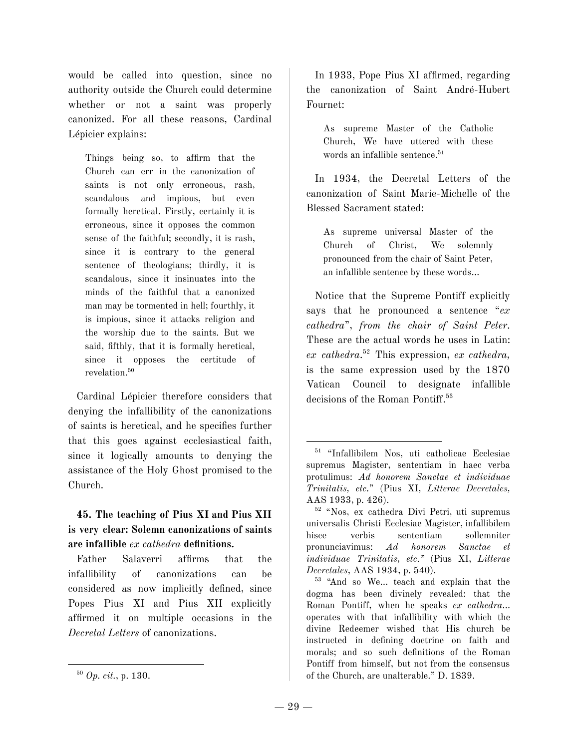would be called into question, since no authority outside the Church could determine whether or not a saint was properly canonized. For all these reasons, Cardinal Lépicier explains:

Things being so, to affirm that the Church can err in the canonization of saints is not only erroneous, rash, scandalous and impious, but even formally heretical. Firstly, certainly it is erroneous, since it opposes the common sense of the faithful; secondly, it is rash, since it is contrary to the general sentence of theologians; thirdly, it is scandalous, since it insinuates into the minds of the faithful that a canonized man may be tormented in hell; fourthly, it is impious, since it attacks religion and the worship due to the saints. But we said, fifthly, that it is formally heretical, since it opposes the certitude of revelation. 50

Cardinal Lépicier therefore considers that denying the infallibility of the canonizations of saints is heretical, and he specifies further that this goes against ecclesiastical faith, since it logically amounts to denying the assistance of the Holy Ghost promised to the Church.

## **45. The teaching of Pius XI and Pius XII is very clear: Solemn canonizations of saints are infallible** *ex cathedra* **definitions.**

Father Salaverri affirms that the infallibility of canonizations can be considered as now implicitly defined, since Popes Pius XI and Pius XII explicitly affirmed it on multiple occasions in the *Decretal Letters* of canonizations.

<sup>50</sup> *Op. cit.*, p. 130.

In 1933, Pope Pius XI affirmed, regarding the canonization of Saint André-Hubert Fournet:

As supreme Master of the Catholic Church, We have uttered with these words an infallible sentence. 51

In 1934, the Decretal Letters of the canonization of Saint Marie-Michelle of the Blessed Sacrament stated:

As supreme universal Master of the Church of Christ, We solemnly pronounced from the chair of Saint Peter, an infallible sentence by these words…

Notice that the Supreme Pontiff explicitly says that he pronounced a sentence "*ex cathedra*", *from the chair of Saint Peter*. These are the actual words he uses in Latin: *ex cathedra*. <sup>52</sup> This expression, *ex cathedra,* is the same expression used by the 1870 Vatican Council to designate infallible decisions of the Roman Pontiff. 53

<sup>51</sup> "Infallibilem Nos, uti catholicae Ecclesiae supremus Magister, sententiam in haec verba protulimus: *Ad honorem Sanctae et individuae Trinitatis, etc.*" (Pius XI, *Litterae Decretales,* AAS 1933, p. 426).

<sup>52</sup> "Nos, ex cathedra Divi Petri, uti supremus universalis Christi Ecclesiae Magister, infallibilem hisce verbis sententiam sollemniter pronunciavimus: *Ad honorem Sanctae et individuae Trinitatis, etc."* (Pius XI, *Litterae Decretales*, AAS 1934, p. 540).

<sup>53</sup> "And so We… teach and explain that the dogma has been divinely revealed: that the Roman Pontiff, when he speaks *ex cathedra*… operates with that infallibility with which the divine Redeemer wished that His church be instructed in defining doctrine on faith and morals; and so such definitions of the Roman Pontiff from himself, but not from the consensus of the Church, are unalterable." D. 1839.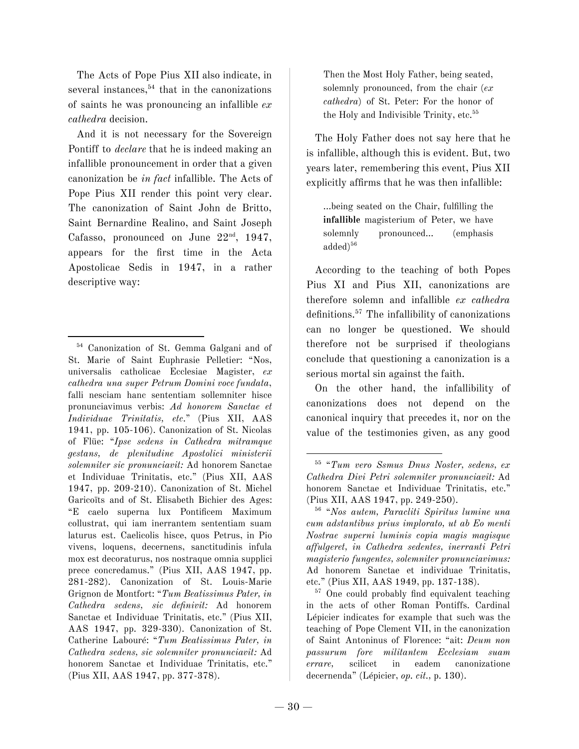The Acts of Pope Pius XII also indicate, in several instances, 54 that in the canonizations of saints he was pronouncing an infallible *ex cathedra* decision.

And it is not necessary for the Sovereign Pontiff to *declare* that he is indeed making an infallible pronouncement in order that a given canonization be *in fact* infallible. The Acts of Pope Pius XII render this point very clear. The canonization of Saint John de Britto, Saint Bernardine Realino, and Saint Joseph Cafasso, pronounced on June  $22<sup>nd</sup>$ , 1947, appears for the first time in the Acta Apostolicae Sedis in 1947, in a rather descriptive way:

Then the Most Holy Father, being seated, solemnly pronounced, from the chair (*ex cathedra*) of St. Peter: For the honor of the Holy and Indivisible Trinity, etc. 55

The Holy Father does not say here that he is infallible, although this is evident. But, two years later, remembering this event, Pius XII explicitly affirms that he was then infallible:

...being seated on the Chair, fulfilling the **infallible** magisterium of Peter, we have solemnly pronounced... (emphasis added) 56

According to the teaching of both Popes Pius XI and Pius XII, canonizations are therefore solemn and infallible *ex cathedra* definitions. <sup>57</sup> The infallibility of canonizations can no longer be questioned. We should therefore not be surprised if theologians conclude that questioning a canonization is a serious mortal sin against the faith.

On the other hand, the infallibility of canonizations does not depend on the canonical inquiry that precedes it, nor on the value of the testimonies given, as any good

<sup>57</sup> One could probably find equivalent teaching in the acts of other Roman Pontiffs. Cardinal Lépicier indicates for example that such was the teaching of Pope Clement VII, in the canonization of Saint Antoninus of Florence: "ait: *Deum non passurum fore militantem Ecclesiam suam errare,* scilicet in eadem canonizatione decernenda" (Lépicier, *op. cit.,* p. 130).

<sup>54</sup> Canonization of St. Gemma Galgani and of St. Marie of Saint Euphrasie Pelletier: "Nos, universalis catholicae Ecclesiae Magister, *ex cathedra una super Petrum Domini voce fundata*, falli nesciam hanc sententiam sollemniter hisce pronunciavimus verbis: *Ad honorem Sanctae et Individuae Trinitatis, etc*." (Pius XII, AAS 1941, pp. 105-106). Canonization of St. Nicolas of Flüe: "*Ipse sedens in Cathedra mitramque gestans, de plenitudine Apostolici ministerii solemniter sic pronunciavit:* Ad honorem Sanctae et Individuae Trinitatis, etc." (Pius XII, AAS 1947, pp. 209-210). Canonization of St. Michel Garicoïts and of St. Elisabeth Bichier des Ages: "E caelo superna lux Pontificem Maximum collustrat, qui iam inerrantem sententiam suam laturus est. Caelicolis hisce, quos Petrus, in Pio vivens, loquens, decernens, sanctitudinis infula mox est decoraturus, nos nostraque omnia supplici prece concredamus." (Pius XII, AAS 1947, pp. 281-282). Canonization of St. Louis-Marie Grignon de Montfort: "*Tum Beatissimus Pater, in Cathedra sedens, sic definivit:* Ad honorem Sanctae et Individuae Trinitatis, etc." (Pius XII, AAS 1947, pp. 329-330). Canonization of St. Catherine Labouré: "*Tum Beatissimus Pater, in Cathedra sedens, sic solemniter pronunciavit:* Ad honorem Sanctae et Individuae Trinitatis, etc." (Pius XII, AAS 1947, pp. 377-378).

<sup>55</sup> "*Tum vero Ssmus Dnus Noster, sedens, ex Cathedra Divi Petri solemniter pronunciavit:* Ad honorem Sanctae et Individuae Trinitatis, etc." (Pius XII, AAS 1947, pp. 249-250).

<sup>56</sup> "*Nos autem, Paracliti Spiritus lumine una cum adstantibus prius implorato, ut ab Eo menti Nostrae superni luminis copia magis magisque affulgeret, in Cathedra sedentes, inerranti Petri magisterio fungentes, solemniter pronunciavimus:* Ad honorem Sanctae et individuae Trinitatis, etc." (Pius XII, AAS 1949, pp. 137-138).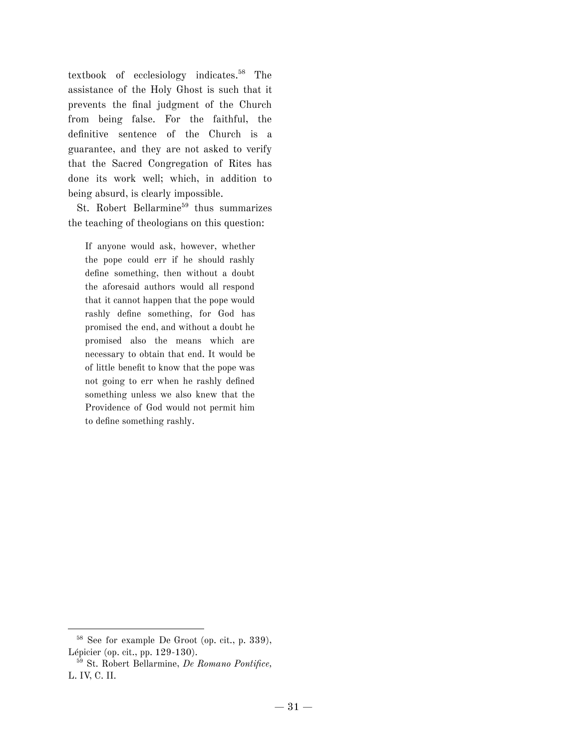textbook of ecclesiology indicates. <sup>58</sup> The assistance of the Holy Ghost is such that it prevents the final judgment of the Church from being false. For the faithful, the definitive sentence of the Church is a guarantee, and they are not asked to verify that the Sacred Congregation of Rites has done its work well; which, in addition to being absurd, is clearly impossible.

St. Robert Bellarmine 59 thus summarizes the teaching of theologians on this question:

If anyone would ask, however, whether the pope could err if he should rashly define something, then without a doubt the aforesaid authors would all respond that it cannot happen that the pope would rashly define something, for God has promised the end, and without a doubt he promised also the means which are necessary to obtain that end. It would be of little benefit to know that the pope was not going to err when he rashly defined something unless we also knew that the Providence of God would not permit him to define something rashly.

<sup>58</sup> See for example De Groot (op. cit., p. 339), Lépicier (op. cit., pp. 129-130).

<sup>59</sup> St. Robert Bellarmine, *De Romano Pontifice,* L. IV, C. II.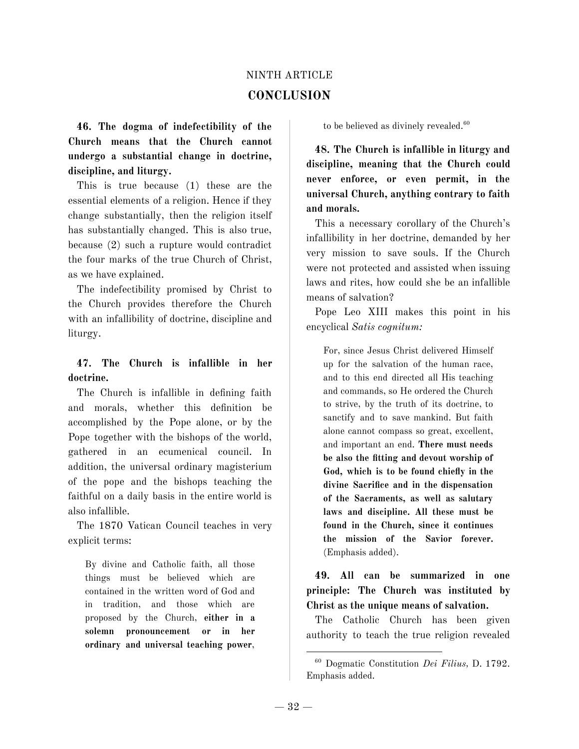# NINTH ARTICLE **CONCLUSION**

**46. The dogma of indefectibility of the Church means that the Church cannot undergo a substantial change in doctrine, discipline, and liturgy.**

This is true because (1) these are the essential elements of a religion. Hence if they change substantially, then the religion itself has substantially changed. This is also true, because (2) such a rupture would contradict the four marks of the true Church of Christ, as we have explained.

The indefectibility promised by Christ to the Church provides therefore the Church with an infallibility of doctrine, discipline and liturgy.

## **47. The Church is infallible in her doctrine.**

The Church is infallible in defining faith and morals, whether this definition be accomplished by the Pope alone, or by the Pope together with the bishops of the world, gathered in an ecumenical council. In addition, the universal ordinary magisterium of the pope and the bishops teaching the faithful on a daily basis in the entire world is also infallible.

The 1870 Vatican Council teaches in very explicit terms:

By divine and Catholic faith, all those things must be believed which are contained in the written word of God and in tradition, and those which are proposed by the Church, **either in a solemn pronouncement or in her ordinary and universal teaching power**,

to be believed as divinely revealed. 60

**48. The Church is infallible in liturgy and discipline, meaning that the Church could never enforce, or even permit, in the universal Church, anything contrary to faith and morals.**

This a necessary corollary of the Church's infallibility in her doctrine, demanded by her very mission to save souls. If the Church were not protected and assisted when issuing laws and rites, how could she be an infallible means of salvation?

Pope Leo XIII makes this point in his encyclical *Satis cognitum:*

For, since Jesus Christ delivered Himself up for the salvation of the human race, and to this end directed all His teaching and commands, so He ordered the Church to strive, by the truth of its doctrine, to sanctify and to save mankind. But faith alone cannot compass so great, excellent, and important an end. **There must needs be also the fitting and devout worship of God, which is to be found chiefly in the divine Sacrifice and in the dispensation of the Sacraments, as well as salutary laws and discipline. All these must be found in the Church, since it continues the mission of the Savior forever.** (Emphasis added).

**49. All can be summarized in one principle: The Church was instituted by Christ as the unique means of salvation.**

The Catholic Church has been given authority to teach the true religion revealed

<sup>60</sup> Dogmatic Constitution *Dei Filius,* D. 1792. Emphasis added.